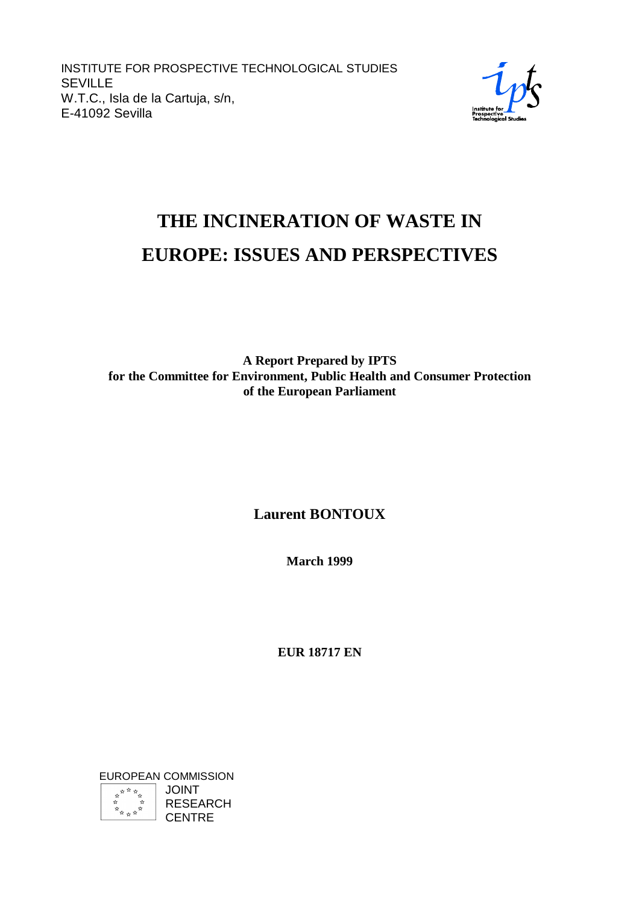INSTITUTE FOR PROSPECTIVE TECHNOLOGICAL STUDIES SEVILLE W.T.C., Isla de la Cartuja, s/n, E-41092 Sevilla



# **THE INCINERATION OF WASTE IN EUROPE: ISSUES AND PERSPECTIVES**

**A Report Prepared by IPTS for the Committee for Environment, Public Health and Consumer Protection of the European Parliament**

# **Laurent BONTOUX**

**March 1999**

**EUR 18717 EN**

EUROPEAN COMMISSION **ARANA**<br>ARANA<br>ARANA JOINT RESEARCH **CENTRE**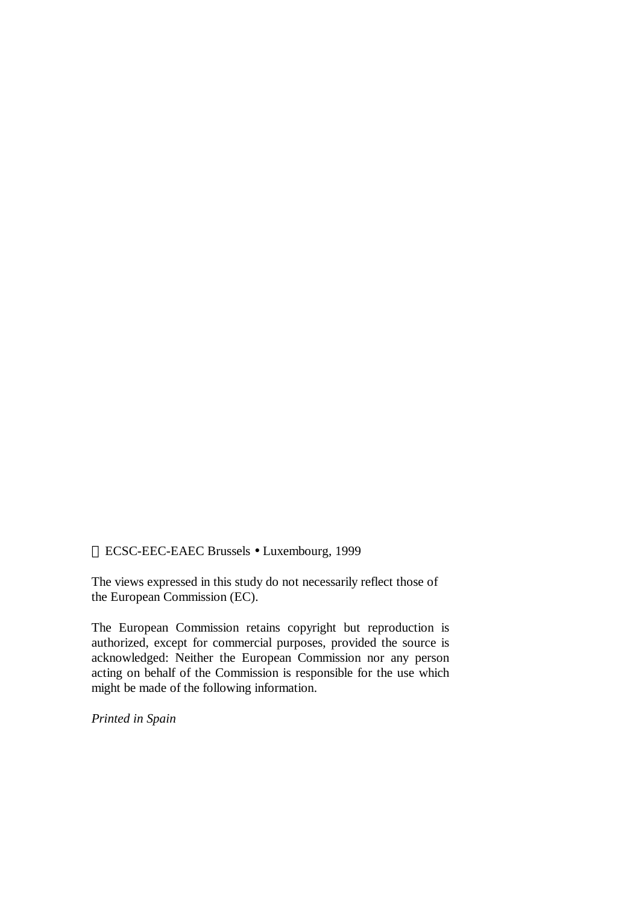ECSC-EEC-EAEC Brussels • Luxembourg, 1999

The views expressed in this study do not necessarily reflect those of the European Commission (EC).

The European Commission retains copyright but reproduction is authorized, except for commercial purposes, provided the source is acknowledged: Neither the European Commission nor any person acting on behalf of the Commission is responsible for the use which might be made of the following information.

*Printed in Spain*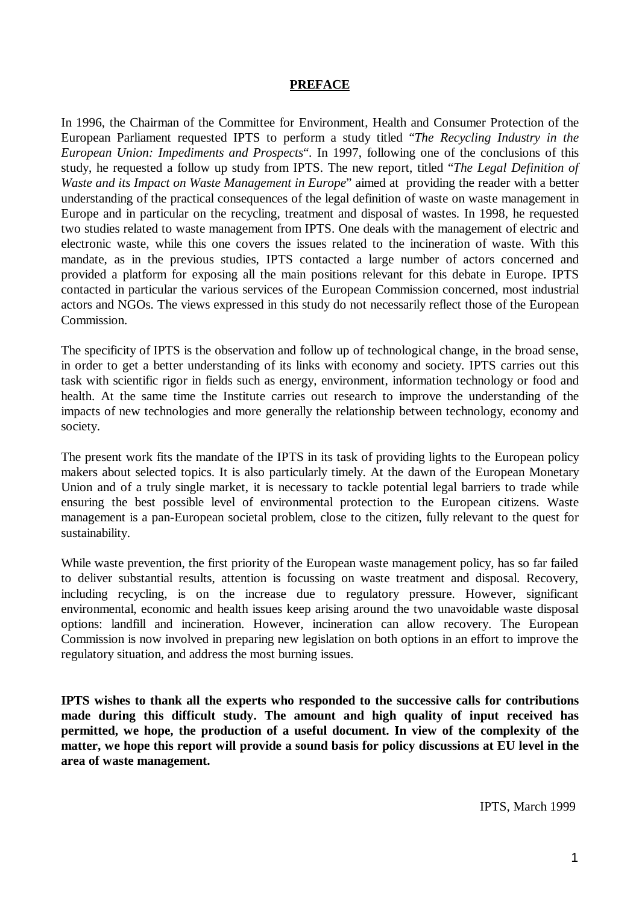#### **PREFACE**

In 1996, the Chairman of the Committee for Environment, Health and Consumer Protection of the European Parliament requested IPTS to perform a study titled "*The Recycling Industry in the European Union: Impediments and Prospects*". In 1997, following one of the conclusions of this study, he requested a follow up study from IPTS. The new report, titled "*The Legal Definition of Waste and its Impact on Waste Management in Europe*" aimed at providing the reader with a better understanding of the practical consequences of the legal definition of waste on waste management in Europe and in particular on the recycling, treatment and disposal of wastes. In 1998, he requested two studies related to waste management from IPTS. One deals with the management of electric and electronic waste, while this one covers the issues related to the incineration of waste. With this mandate, as in the previous studies, IPTS contacted a large number of actors concerned and provided a platform for exposing all the main positions relevant for this debate in Europe. IPTS contacted in particular the various services of the European Commission concerned, most industrial actors and NGOs. The views expressed in this study do not necessarily reflect those of the European Commission.

The specificity of IPTS is the observation and follow up of technological change, in the broad sense, in order to get a better understanding of its links with economy and society. IPTS carries out this task with scientific rigor in fields such as energy, environment, information technology or food and health. At the same time the Institute carries out research to improve the understanding of the impacts of new technologies and more generally the relationship between technology, economy and society.

The present work fits the mandate of the IPTS in its task of providing lights to the European policy makers about selected topics. It is also particularly timely. At the dawn of the European Monetary Union and of a truly single market, it is necessary to tackle potential legal barriers to trade while ensuring the best possible level of environmental protection to the European citizens. Waste management is a pan-European societal problem, close to the citizen, fully relevant to the quest for sustainability.

While waste prevention, the first priority of the European waste management policy, has so far failed to deliver substantial results, attention is focussing on waste treatment and disposal. Recovery, including recycling, is on the increase due to regulatory pressure. However, significant environmental, economic and health issues keep arising around the two unavoidable waste disposal options: landfill and incineration. However, incineration can allow recovery. The European Commission is now involved in preparing new legislation on both options in an effort to improve the regulatory situation, and address the most burning issues.

**IPTS wishes to thank all the experts who responded to the successive calls for contributions made during this difficult study. The amount and high quality of input received has permitted, we hope, the production of a useful document. In view of the complexity of the matter, we hope this report will provide a sound basis for policy discussions at EU level in the area of waste management.**

IPTS, March 1999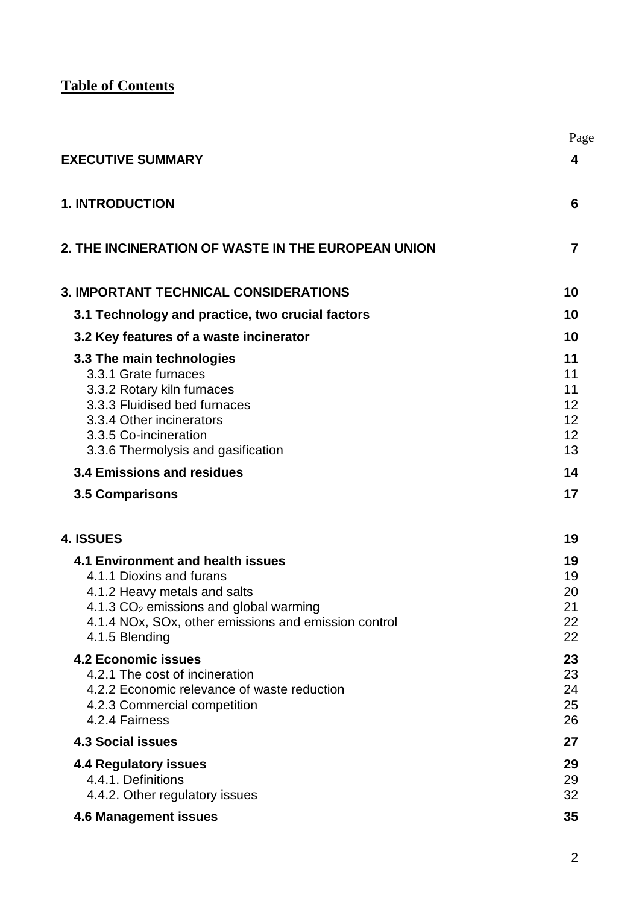**Table of Contents**

|                                                                                                                                                                                                                               | Page                                   |
|-------------------------------------------------------------------------------------------------------------------------------------------------------------------------------------------------------------------------------|----------------------------------------|
| <b>EXECUTIVE SUMMARY</b>                                                                                                                                                                                                      | 4                                      |
| <b>1. INTRODUCTION</b>                                                                                                                                                                                                        | 6                                      |
| 2. THE INCINERATION OF WASTE IN THE EUROPEAN UNION                                                                                                                                                                            | 7                                      |
| <b>3. IMPORTANT TECHNICAL CONSIDERATIONS</b>                                                                                                                                                                                  | 10                                     |
| 3.1 Technology and practice, two crucial factors                                                                                                                                                                              | 10                                     |
| 3.2 Key features of a waste incinerator                                                                                                                                                                                       | 10                                     |
| 3.3 The main technologies<br>3.3.1 Grate furnaces<br>3.3.2 Rotary kiln furnaces<br>3.3.3 Fluidised bed furnaces<br>3.3.4 Other incinerators<br>3.3.5 Co-incineration<br>3.3.6 Thermolysis and gasification                    | 11<br>11<br>11<br>12<br>12<br>12<br>13 |
| 3.4 Emissions and residues                                                                                                                                                                                                    | 14                                     |
| <b>3.5 Comparisons</b>                                                                                                                                                                                                        | 17                                     |
| 4. ISSUES                                                                                                                                                                                                                     | 19                                     |
| 4.1 Environment and health issues<br>4.1.1 Dioxins and furans<br>4.1.2 Heavy metals and salts<br>4.1.3 CO <sub>2</sub> emissions and global warming<br>4.1.4 NOx, SOx, other emissions and emission control<br>4.1.5 Blending | 19<br>19<br>20<br>21<br>22<br>22       |
| <b>4.2 Economic issues</b><br>4.2.1 The cost of incineration<br>4.2.2 Economic relevance of waste reduction<br>4.2.3 Commercial competition<br>4.2.4 Fairness                                                                 | 23<br>23<br>24<br>25<br>26             |
| <b>4.3 Social issues</b>                                                                                                                                                                                                      | 27                                     |
| <b>4.4 Regulatory issues</b><br>4.4.1. Definitions<br>4.4.2. Other regulatory issues                                                                                                                                          | 29<br>29<br>32                         |
| <b>4.6 Management issues</b>                                                                                                                                                                                                  | 35                                     |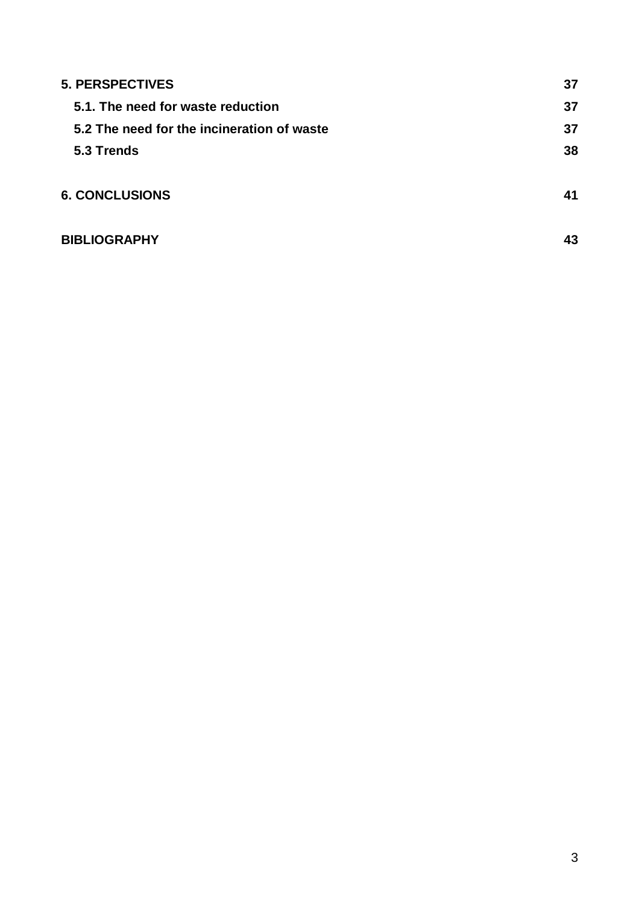| <b>5. PERSPECTIVES</b>                     | 37 |
|--------------------------------------------|----|
| 5.1. The need for waste reduction          | 37 |
| 5.2 The need for the incineration of waste | 37 |
| 5.3 Trends                                 | 38 |
|                                            |    |
| <b>6. CONCLUSIONS</b>                      | 41 |
| <b>BIBLIOGRAPHY</b>                        | 43 |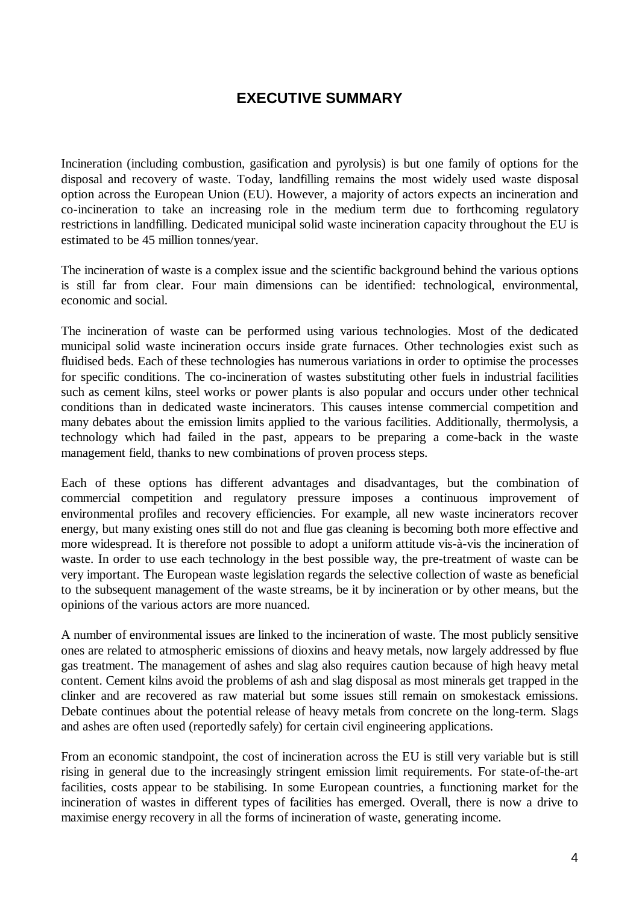# **EXECUTIVE SUMMARY**

Incineration (including combustion, gasification and pyrolysis) is but one family of options for the disposal and recovery of waste. Today, landfilling remains the most widely used waste disposal option across the European Union (EU). However, a majority of actors expects an incineration and co-incineration to take an increasing role in the medium term due to forthcoming regulatory restrictions in landfilling. Dedicated municipal solid waste incineration capacity throughout the EU is estimated to be 45 million tonnes/year.

The incineration of waste is a complex issue and the scientific background behind the various options is still far from clear. Four main dimensions can be identified: technological, environmental, economic and social.

The incineration of waste can be performed using various technologies. Most of the dedicated municipal solid waste incineration occurs inside grate furnaces. Other technologies exist such as fluidised beds. Each of these technologies has numerous variations in order to optimise the processes for specific conditions. The co-incineration of wastes substituting other fuels in industrial facilities such as cement kilns, steel works or power plants is also popular and occurs under other technical conditions than in dedicated waste incinerators. This causes intense commercial competition and many debates about the emission limits applied to the various facilities. Additionally, thermolysis, a technology which had failed in the past, appears to be preparing a come-back in the waste management field, thanks to new combinations of proven process steps.

Each of these options has different advantages and disadvantages, but the combination of commercial competition and regulatory pressure imposes a continuous improvement of environmental profiles and recovery efficiencies. For example, all new waste incinerators recover energy, but many existing ones still do not and flue gas cleaning is becoming both more effective and more widespread. It is therefore not possible to adopt a uniform attitude vis-à-vis the incineration of waste. In order to use each technology in the best possible way, the pre-treatment of waste can be very important. The European waste legislation regards the selective collection of waste as beneficial to the subsequent management of the waste streams, be it by incineration or by other means, but the opinions of the various actors are more nuanced.

A number of environmental issues are linked to the incineration of waste. The most publicly sensitive ones are related to atmospheric emissions of dioxins and heavy metals, now largely addressed by flue gas treatment. The management of ashes and slag also requires caution because of high heavy metal content. Cement kilns avoid the problems of ash and slag disposal as most minerals get trapped in the clinker and are recovered as raw material but some issues still remain on smokestack emissions. Debate continues about the potential release of heavy metals from concrete on the long-term. Slags and ashes are often used (reportedly safely) for certain civil engineering applications.

From an economic standpoint, the cost of incineration across the EU is still very variable but is still rising in general due to the increasingly stringent emission limit requirements. For state-of-the-art facilities, costs appear to be stabilising. In some European countries, a functioning market for the incineration of wastes in different types of facilities has emerged. Overall, there is now a drive to maximise energy recovery in all the forms of incineration of waste, generating income.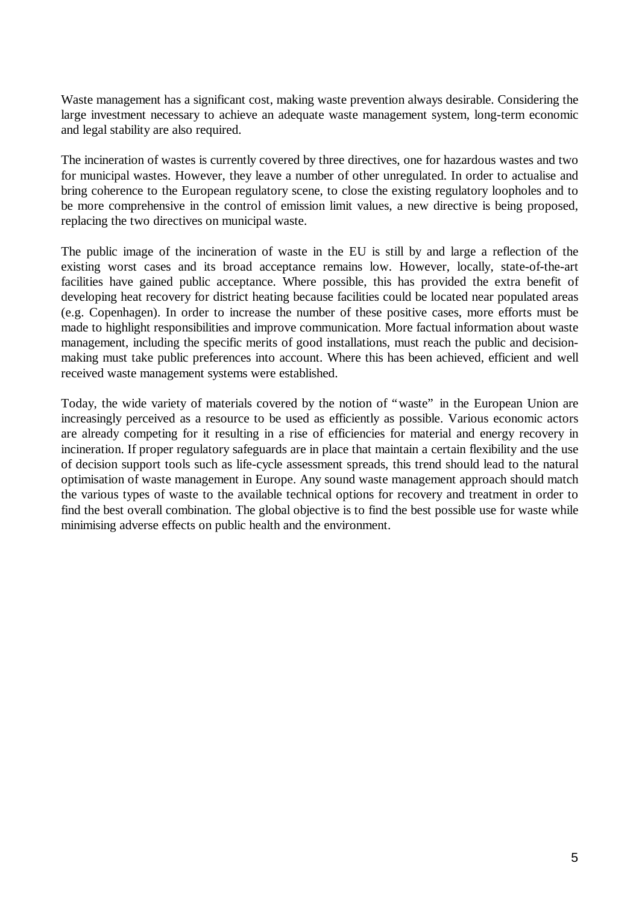Waste management has a significant cost, making waste prevention always desirable. Considering the large investment necessary to achieve an adequate waste management system, long-term economic and legal stability are also required.

The incineration of wastes is currently covered by three directives, one for hazardous wastes and two for municipal wastes. However, they leave a number of other unregulated. In order to actualise and bring coherence to the European regulatory scene, to close the existing regulatory loopholes and to be more comprehensive in the control of emission limit values, a new directive is being proposed, replacing the two directives on municipal waste.

The public image of the incineration of waste in the EU is still by and large a reflection of the existing worst cases and its broad acceptance remains low. However, locally, state-of-the-art facilities have gained public acceptance. Where possible, this has provided the extra benefit of developing heat recovery for district heating because facilities could be located near populated areas (e.g. Copenhagen). In order to increase the number of these positive cases, more efforts must be made to highlight responsibilities and improve communication. More factual information about waste management, including the specific merits of good installations, must reach the public and decisionmaking must take public preferences into account. Where this has been achieved, efficient and well received waste management systems were established.

Today, the wide variety of materials covered by the notion of "waste" in the European Union are increasingly perceived as a resource to be used as efficiently as possible. Various economic actors are already competing for it resulting in a rise of efficiencies for material and energy recovery in incineration. If proper regulatory safeguards are in place that maintain a certain flexibility and the use of decision support tools such as life-cycle assessment spreads, this trend should lead to the natural optimisation of waste management in Europe. Any sound waste management approach should match the various types of waste to the available technical options for recovery and treatment in order to find the best overall combination. The global objective is to find the best possible use for waste while minimising adverse effects on public health and the environment.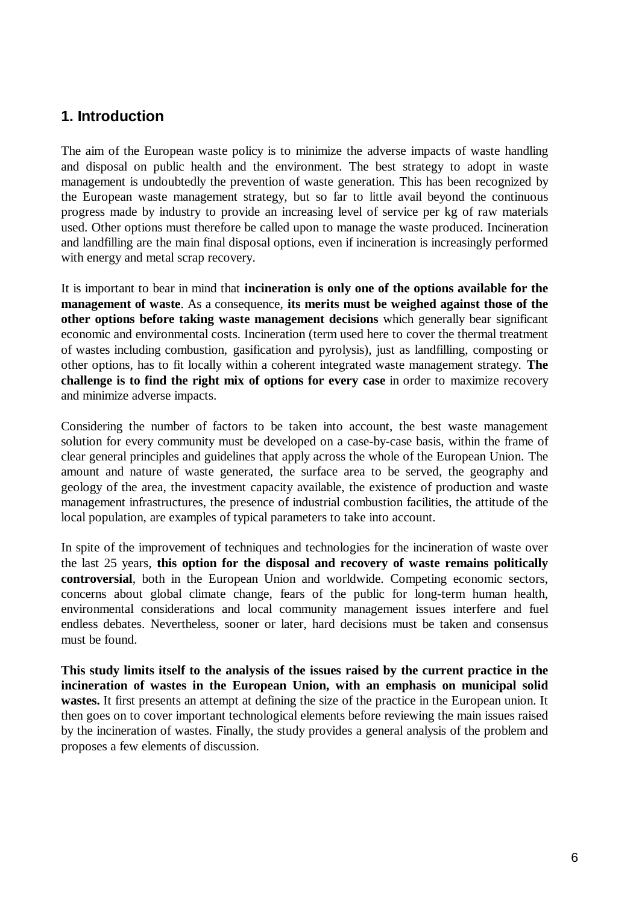# **1. Introduction**

The aim of the European waste policy is to minimize the adverse impacts of waste handling and disposal on public health and the environment. The best strategy to adopt in waste management is undoubtedly the prevention of waste generation. This has been recognized by the European waste management strategy, but so far to little avail beyond the continuous progress made by industry to provide an increasing level of service per kg of raw materials used. Other options must therefore be called upon to manage the waste produced. Incineration and landfilling are the main final disposal options, even if incineration is increasingly performed with energy and metal scrap recovery.

It is important to bear in mind that **incineration is only one of the options available for the management of waste**. As a consequence, **its merits must be weighed against those of the other options before taking waste management decisions** which generally bear significant economic and environmental costs. Incineration (term used here to cover the thermal treatment of wastes including combustion, gasification and pyrolysis), just as landfilling, composting or other options, has to fit locally within a coherent integrated waste management strategy. **The challenge is to find the right mix of options for every case** in order to maximize recovery and minimize adverse impacts.

Considering the number of factors to be taken into account, the best waste management solution for every community must be developed on a case-by-case basis, within the frame of clear general principles and guidelines that apply across the whole of the European Union. The amount and nature of waste generated, the surface area to be served, the geography and geology of the area, the investment capacity available, the existence of production and waste management infrastructures, the presence of industrial combustion facilities, the attitude of the local population, are examples of typical parameters to take into account.

In spite of the improvement of techniques and technologies for the incineration of waste over the last 25 years, **this option for the disposal and recovery of waste remains politically controversial**, both in the European Union and worldwide. Competing economic sectors, concerns about global climate change, fears of the public for long-term human health, environmental considerations and local community management issues interfere and fuel endless debates. Nevertheless, sooner or later, hard decisions must be taken and consensus must be found.

**This study limits itself to the analysis of the issues raised by the current practice in the incineration of wastes in the European Union, with an emphasis on municipal solid wastes.** It first presents an attempt at defining the size of the practice in the European union. It then goes on to cover important technological elements before reviewing the main issues raised by the incineration of wastes. Finally, the study provides a general analysis of the problem and proposes a few elements of discussion.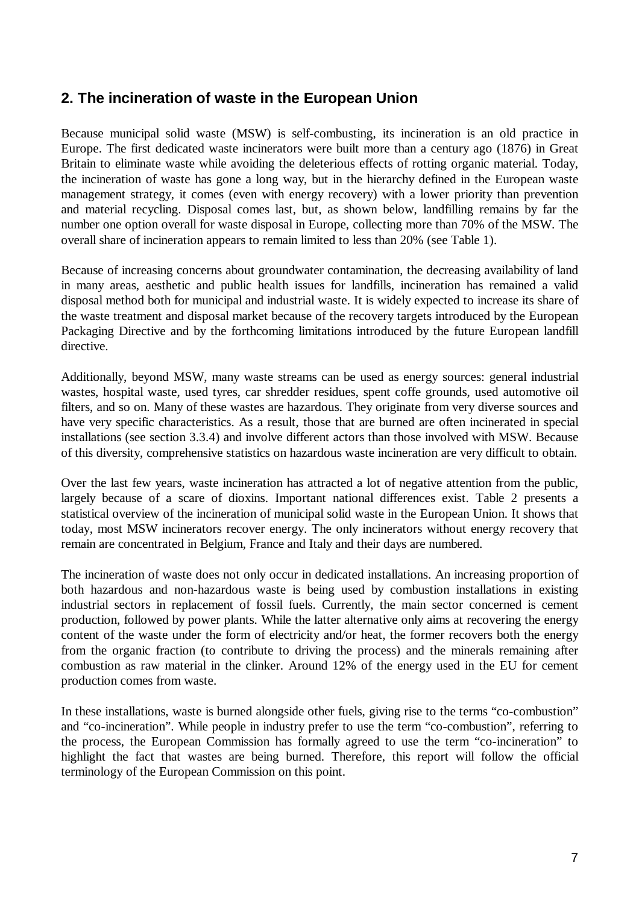# **2. The incineration of waste in the European Union**

Because municipal solid waste (MSW) is self-combusting, its incineration is an old practice in Europe. The first dedicated waste incinerators were built more than a century ago (1876) in Great Britain to eliminate waste while avoiding the deleterious effects of rotting organic material. Today, the incineration of waste has gone a long way, but in the hierarchy defined in the European waste management strategy, it comes (even with energy recovery) with a lower priority than prevention and material recycling. Disposal comes last, but, as shown below, landfilling remains by far the number one option overall for waste disposal in Europe, collecting more than 70% of the MSW. The overall share of incineration appears to remain limited to less than 20% (see Table 1).

Because of increasing concerns about groundwater contamination, the decreasing availability of land in many areas, aesthetic and public health issues for landfills, incineration has remained a valid disposal method both for municipal and industrial waste. It is widely expected to increase its share of the waste treatment and disposal market because of the recovery targets introduced by the European Packaging Directive and by the forthcoming limitations introduced by the future European landfill directive.

Additionally, beyond MSW, many waste streams can be used as energy sources: general industrial wastes, hospital waste, used tyres, car shredder residues, spent coffe grounds, used automotive oil filters, and so on. Many of these wastes are hazardous. They originate from very diverse sources and have very specific characteristics. As a result, those that are burned are often incinerated in special installations (see section 3.3.4) and involve different actors than those involved with MSW. Because of this diversity, comprehensive statistics on hazardous waste incineration are very difficult to obtain.

Over the last few years, waste incineration has attracted a lot of negative attention from the public, largely because of a scare of dioxins. Important national differences exist. Table 2 presents a statistical overview of the incineration of municipal solid waste in the European Union. It shows that today, most MSW incinerators recover energy. The only incinerators without energy recovery that remain are concentrated in Belgium, France and Italy and their days are numbered.

The incineration of waste does not only occur in dedicated installations. An increasing proportion of both hazardous and non-hazardous waste is being used by combustion installations in existing industrial sectors in replacement of fossil fuels. Currently, the main sector concerned is cement production, followed by power plants. While the latter alternative only aims at recovering the energy content of the waste under the form of electricity and/or heat, the former recovers both the energy from the organic fraction (to contribute to driving the process) and the minerals remaining after combustion as raw material in the clinker. Around 12% of the energy used in the EU for cement production comes from waste.

In these installations, waste is burned alongside other fuels, giving rise to the terms "co-combustion" and "co-incineration". While people in industry prefer to use the term "co-combustion", referring to the process, the European Commission has formally agreed to use the term "co-incineration" to highlight the fact that wastes are being burned. Therefore, this report will follow the official terminology of the European Commission on this point.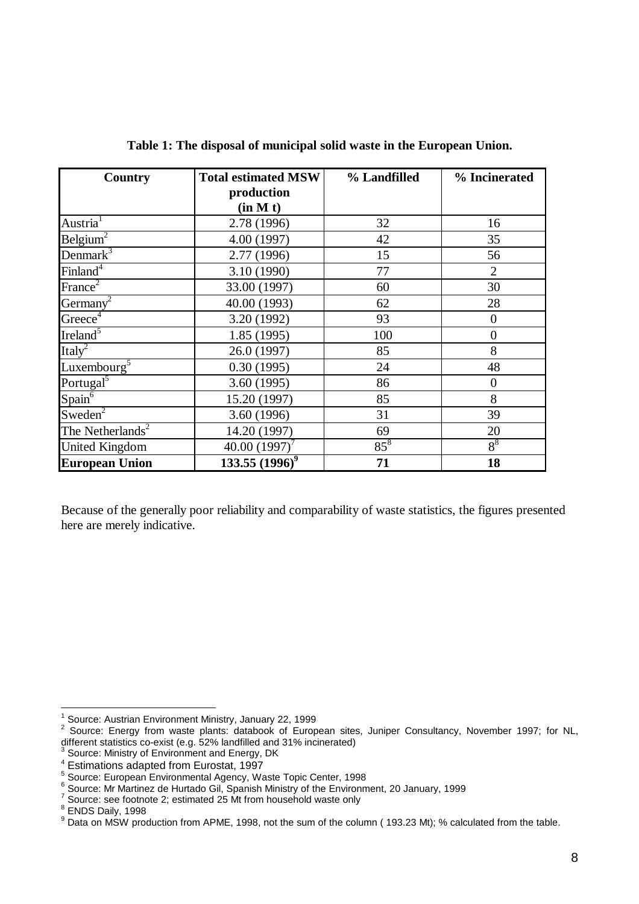| <b>Country</b>               | <b>Total estimated MSW</b> | % Landfilled | % Incinerated  |  |
|------------------------------|----------------------------|--------------|----------------|--|
|                              | production                 |              |                |  |
|                              | (in M t)                   |              |                |  |
| Austria <sup>1</sup>         | 2.78 (1996)                | 32           | 16             |  |
| Belgium <sup>2</sup>         | 4.00 (1997)                | 42           | 35             |  |
| Denmark $3$                  | 2.77 (1996)                | 15           | 56             |  |
| Finland <sup>4</sup>         | 3.10 (1990)                | 77           | $\overline{2}$ |  |
| France <sup>2</sup>          | 33.00 (1997)               | 60           | 30             |  |
| Germany <sup>2</sup>         | 40.00 (1993)               | 62           | 28             |  |
| Greece <sup>4</sup>          | 3.20 (1992)                | 93           | $\overline{0}$ |  |
| Ireland <sup>5</sup>         | 1.85 (1995)                | 100          | $\overline{0}$ |  |
| Italy <sup>2</sup>           | 26.0 (1997)                | 85           | 8              |  |
| Luxembourg <sup>5</sup>      | 0.30(1995)                 | 24           | 48             |  |
| Portugal <sup>5</sup>        | 3.60(1995)                 | 86           | $\overline{0}$ |  |
| Span <sup>6</sup>            | 15.20 (1997)               | 85           | 8              |  |
| Sweden <sup>2</sup>          | 3.60 (1996)                | 31           | 39             |  |
| The Netherlands <sup>2</sup> | 14.20 (1997)               | 69           | 20             |  |
| <b>United Kingdom</b>        | 40.00 $(1997)^7$           | $85^8$       | $8^8$          |  |
| <b>European Union</b>        | 133.55 $(1996)^9$          | 71           | 18             |  |

**Table 1: The disposal of municipal solid waste in the European Union.**

Because of the generally poor reliability and comparability of waste statistics, the figures presented here are merely indicative.

 1 Source: Austrian Environment Ministry, January 22, 1999

<sup>&</sup>lt;sup>2</sup> Source: Energy from waste plants: databook of European sites, Juniper Consultancy, November 1997; for NL, different statistics co-exist (e.g. 52% landfilled and 31% incinerated)<br><sup>3</sup> Source: Ministry of Environment and Energy, DK

<sup>4</sup> Estimations adapted from Eurostat, 1997

<sup>5</sup> Source: European Environmental Agency, Waste Topic Center, 1998

 $^6$  Source: Mr Martinez de Hurtado Gil, Spanish Ministry of the Environment, 20 January, 1999

 $7$  Source: see footnote 2; estimated 25 Mt from household waste only

<sup>&</sup>lt;sup>8</sup> ENDS Daily, 1998

 $9$  Data on MSW production from APME, 1998, not the sum of the column (193.23 Mt); % calculated from the table.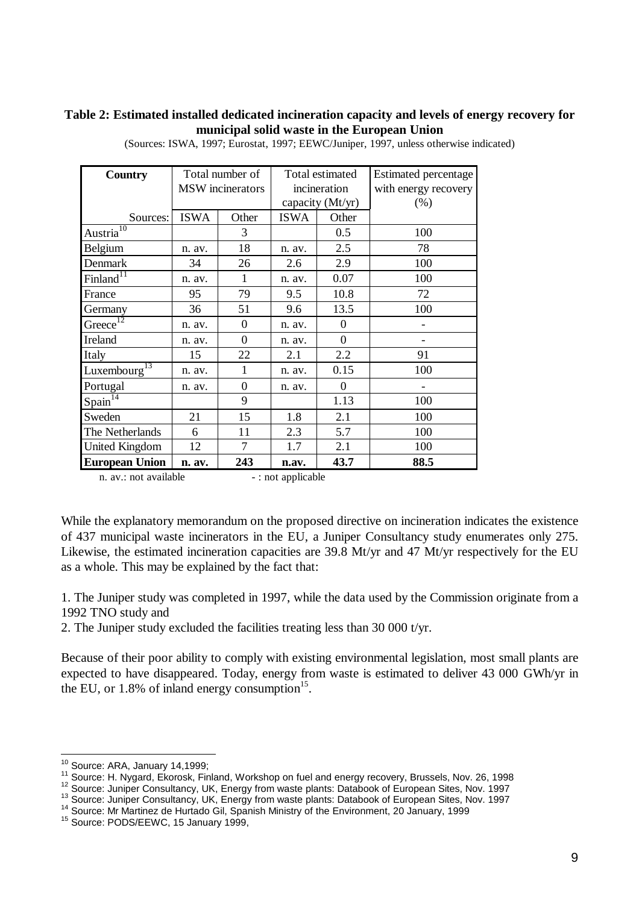#### **Table 2: Estimated installed dedicated incineration capacity and levels of energy recovery for municipal solid waste in the European Union**

| <b>Country</b>                    |             | Total number of         | Total estimated    |          | <b>Estimated percentage</b> |
|-----------------------------------|-------------|-------------------------|--------------------|----------|-----------------------------|
|                                   |             | <b>MSW</b> incinerators | incineration       |          | with energy recovery        |
|                                   |             |                         | capacity (Mt/yr)   |          | (% )                        |
| Sources:                          | <b>ISWA</b> | Other                   | ISWA               | Other    |                             |
| $A$ ustria $^{10}$                |             | 3                       |                    | 0.5      | 100                         |
| Belgium                           | n. av.      | 18                      | n. av.             | 2.5      | 78                          |
| Denmark                           | 34          | 26                      | 2.6                | 2.9      | 100                         |
| Finland $\overline{11}$           | n. av.      | 1                       | n. av.             | 0.07     | 100                         |
| France                            | 95          | 79                      | 9.5                | 10.8     | 72                          |
| Germany                           | 36          | 51                      | 9.6                | 13.5     | 100                         |
| Greece                            | n. av.      | $\boldsymbol{0}$        | n. av.             | 0        |                             |
| Ireland                           | n. av.      | $\theta$                | n. av.             | $\theta$ |                             |
| Italy                             | 15          | 22                      | 2.1                | 2.2      | 91                          |
| Luxembourg $^{13}$                | n. av.      | 1                       | n. av.             | 0.15     | 100                         |
| Portugal                          | n. av.      | $\boldsymbol{0}$        | n. av.             | $\Omega$ | $\qquad \qquad$             |
| $S_{\text{pain}}^{\overline{14}}$ |             | 9                       |                    | 1.13     | 100                         |
| Sweden                            | 21          | 15                      | 1.8                | 2.1      | 100                         |
| The Netherlands                   | 6           | 11                      | 2.3                | 5.7      | 100                         |
| <b>United Kingdom</b>             | 12          | $\overline{7}$          | 1.7                | 2.1      | 100                         |
| <b>European Union</b>             | n. av.      | 243                     | n.av.              | 43.7     | 88.5                        |
| n. av.: not available             |             |                         | - : not applicable |          |                             |

(Sources: ISWA, 1997; Eurostat, 1997; EEWC/Juniper, 1997, unless otherwise indicated)

While the explanatory memorandum on the proposed directive on incineration indicates the existence of 437 municipal waste incinerators in the EU, a Juniper Consultancy study enumerates only 275. Likewise, the estimated incineration capacities are 39.8 Mt/yr and 47 Mt/yr respectively for the EU as a whole. This may be explained by the fact that:

1. The Juniper study was completed in 1997, while the data used by the Commission originate from a 1992 TNO study and

2. The Juniper study excluded the facilities treating less than 30 000 t/yr.

Because of their poor ability to comply with existing environmental legislation, most small plants are expected to have disappeared. Today, energy from waste is estimated to deliver 43 000 GWh/yr in the EU, or  $1.8\%$  of inland energy consumption<sup>15</sup>.

 $\overline{a}$ 

 $10$  Source: ARA, January 14,1999;

<sup>11</sup> Source: H. Nygard, Ekorosk, Finland, Workshop on fuel and energy recovery, Brussels, Nov. 26, 1998

<sup>12</sup> Source: Juniper Consultancy, UK, Energy from waste plants: Databook of European Sites, Nov. 1997

<sup>13</sup> Source: Juniper Consultancy, UK, Energy from waste plants: Databook of European Sites, Nov. 1997

<sup>14</sup> Source: Mr Martinez de Hurtado Gil, Spanish Ministry of the Environment, 20 January, 1999

<sup>15</sup> Source: PODS/EEWC, 15 January 1999,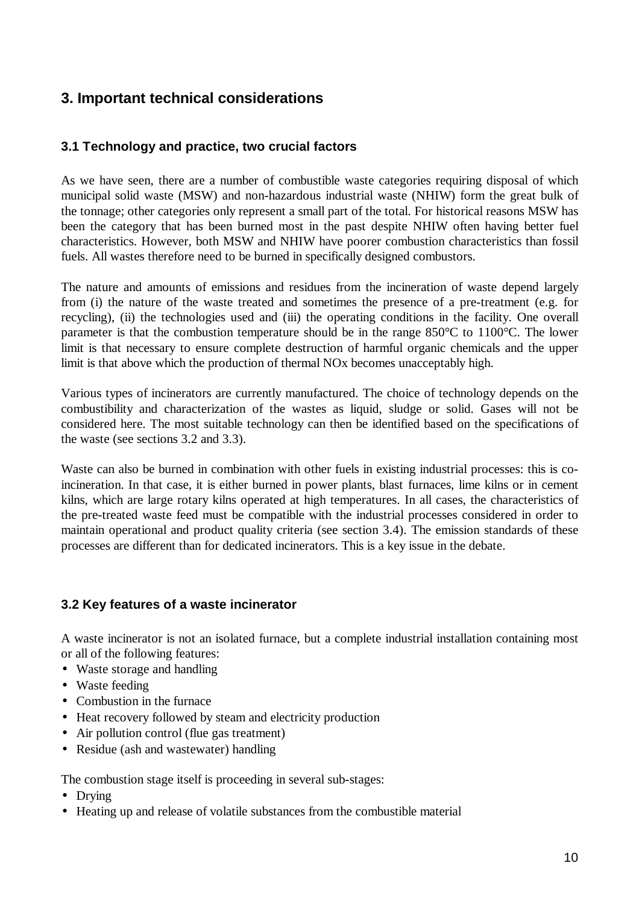# **3. Important technical considerations**

## **3.1 Technology and practice, two crucial factors**

As we have seen, there are a number of combustible waste categories requiring disposal of which municipal solid waste (MSW) and non-hazardous industrial waste (NHIW) form the great bulk of the tonnage; other categories only represent a small part of the total. For historical reasons MSW has been the category that has been burned most in the past despite NHIW often having better fuel characteristics. However, both MSW and NHIW have poorer combustion characteristics than fossil fuels. All wastes therefore need to be burned in specifically designed combustors.

The nature and amounts of emissions and residues from the incineration of waste depend largely from (i) the nature of the waste treated and sometimes the presence of a pre-treatment (e.g. for recycling), (ii) the technologies used and (iii) the operating conditions in the facility. One overall parameter is that the combustion temperature should be in the range 850°C to 1100°C. The lower limit is that necessary to ensure complete destruction of harmful organic chemicals and the upper limit is that above which the production of thermal NOx becomes unacceptably high.

Various types of incinerators are currently manufactured. The choice of technology depends on the combustibility and characterization of the wastes as liquid, sludge or solid. Gases will not be considered here. The most suitable technology can then be identified based on the specifications of the waste (see sections 3.2 and 3.3).

Waste can also be burned in combination with other fuels in existing industrial processes: this is coincineration. In that case, it is either burned in power plants, blast furnaces, lime kilns or in cement kilns, which are large rotary kilns operated at high temperatures. In all cases, the characteristics of the pre-treated waste feed must be compatible with the industrial processes considered in order to maintain operational and product quality criteria (see section 3.4). The emission standards of these processes are different than for dedicated incinerators. This is a key issue in the debate.

## **3.2 Key features of a waste incinerator**

A waste incinerator is not an isolated furnace, but a complete industrial installation containing most or all of the following features:

- Waste storage and handling
- Waste feeding
- Combustion in the furnace
- Heat recovery followed by steam and electricity production
- Air pollution control (flue gas treatment)
- Residue (ash and wastewater) handling

The combustion stage itself is proceeding in several sub-stages:

- Drying
- Heating up and release of volatile substances from the combustible material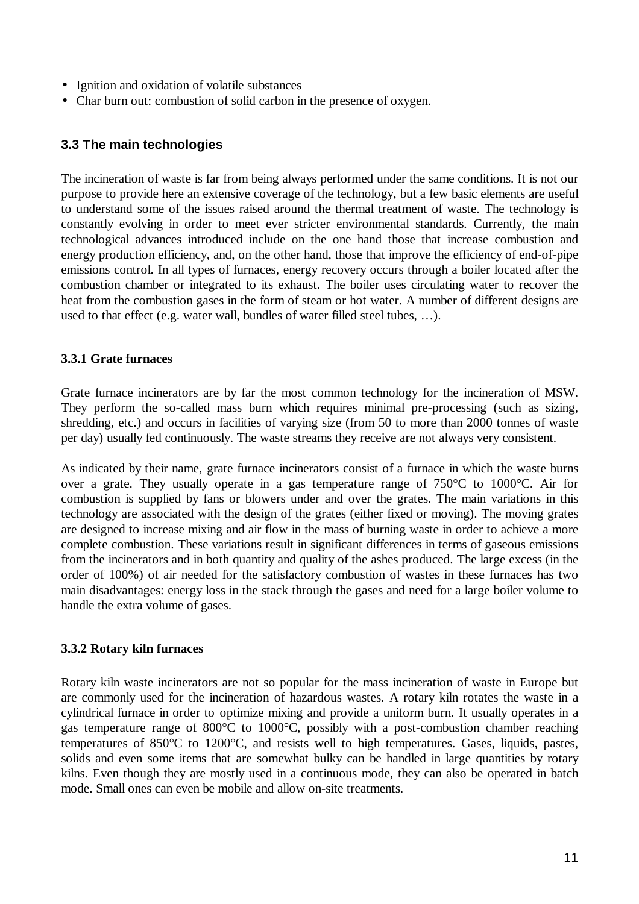- Ignition and oxidation of volatile substances
- Char burn out: combustion of solid carbon in the presence of oxygen.

## **3.3 The main technologies**

The incineration of waste is far from being always performed under the same conditions. It is not our purpose to provide here an extensive coverage of the technology, but a few basic elements are useful to understand some of the issues raised around the thermal treatment of waste. The technology is constantly evolving in order to meet ever stricter environmental standards. Currently, the main technological advances introduced include on the one hand those that increase combustion and energy production efficiency, and, on the other hand, those that improve the efficiency of end-of-pipe emissions control. In all types of furnaces, energy recovery occurs through a boiler located after the combustion chamber or integrated to its exhaust. The boiler uses circulating water to recover the heat from the combustion gases in the form of steam or hot water. A number of different designs are used to that effect (e.g. water wall, bundles of water filled steel tubes, … ).

## **3.3.1 Grate furnaces**

Grate furnace incinerators are by far the most common technology for the incineration of MSW. They perform the so-called mass burn which requires minimal pre-processing (such as sizing, shredding, etc.) and occurs in facilities of varying size (from 50 to more than 2000 tonnes of waste per day) usually fed continuously. The waste streams they receive are not always very consistent.

As indicated by their name, grate furnace incinerators consist of a furnace in which the waste burns over a grate. They usually operate in a gas temperature range of 750°C to 1000°C. Air for combustion is supplied by fans or blowers under and over the grates. The main variations in this technology are associated with the design of the grates (either fixed or moving). The moving grates are designed to increase mixing and air flow in the mass of burning waste in order to achieve a more complete combustion. These variations result in significant differences in terms of gaseous emissions from the incinerators and in both quantity and quality of the ashes produced. The large excess (in the order of 100%) of air needed for the satisfactory combustion of wastes in these furnaces has two main disadvantages: energy loss in the stack through the gases and need for a large boiler volume to handle the extra volume of gases.

## **3.3.2 Rotary kiln furnaces**

Rotary kiln waste incinerators are not so popular for the mass incineration of waste in Europe but are commonly used for the incineration of hazardous wastes. A rotary kiln rotates the waste in a cylindrical furnace in order to optimize mixing and provide a uniform burn. It usually operates in a gas temperature range of 800°C to 1000°C, possibly with a post-combustion chamber reaching temperatures of 850°C to 1200°C, and resists well to high temperatures. Gases, liquids, pastes, solids and even some items that are somewhat bulky can be handled in large quantities by rotary kilns. Even though they are mostly used in a continuous mode, they can also be operated in batch mode. Small ones can even be mobile and allow on-site treatments.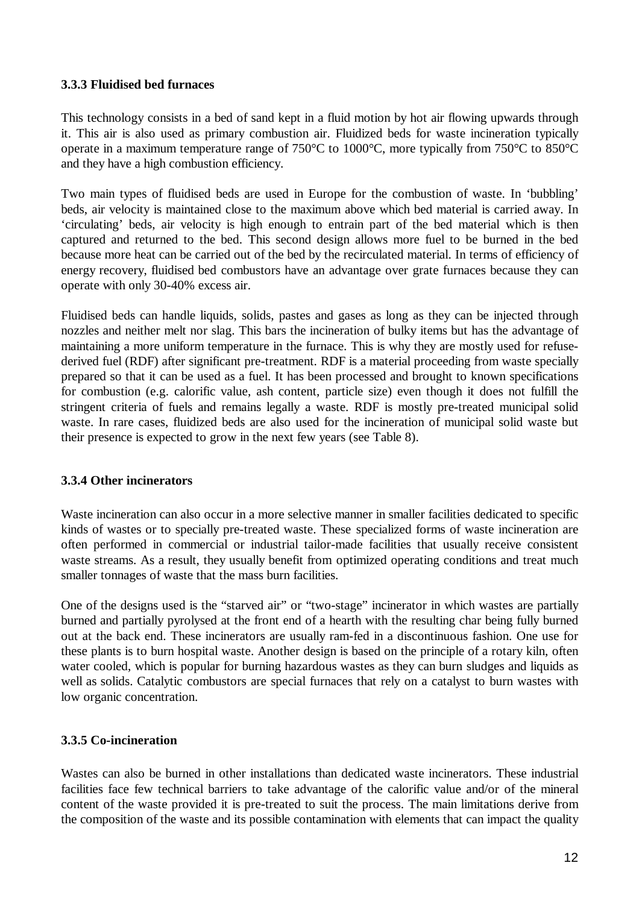#### **3.3.3 Fluidised bed furnaces**

This technology consists in a bed of sand kept in a fluid motion by hot air flowing upwards through it. This air is also used as primary combustion air. Fluidized beds for waste incineration typically operate in a maximum temperature range of 750°C to 1000°C, more typically from 750°C to 850°C and they have a high combustion efficiency.

Two main types of fluidised beds are used in Europe for the combustion of waste. In 'bubbling' beds, air velocity is maintained close to the maximum above which bed material is carried away. In 'circulating' beds, air velocity is high enough to entrain part of the bed material which is then captured and returned to the bed. This second design allows more fuel to be burned in the bed because more heat can be carried out of the bed by the recirculated material. In terms of efficiency of energy recovery, fluidised bed combustors have an advantage over grate furnaces because they can operate with only 30-40% excess air.

Fluidised beds can handle liquids, solids, pastes and gases as long as they can be injected through nozzles and neither melt nor slag. This bars the incineration of bulky items but has the advantage of maintaining a more uniform temperature in the furnace. This is why they are mostly used for refusederived fuel (RDF) after significant pre-treatment. RDF is a material proceeding from waste specially prepared so that it can be used as a fuel. It has been processed and brought to known specifications for combustion (e.g. calorific value, ash content, particle size) even though it does not fulfill the stringent criteria of fuels and remains legally a waste. RDF is mostly pre-treated municipal solid waste. In rare cases, fluidized beds are also used for the incineration of municipal solid waste but their presence is expected to grow in the next few years (see Table 8).

## **3.3.4 Other incinerators**

Waste incineration can also occur in a more selective manner in smaller facilities dedicated to specific kinds of wastes or to specially pre-treated waste. These specialized forms of waste incineration are often performed in commercial or industrial tailor-made facilities that usually receive consistent waste streams. As a result, they usually benefit from optimized operating conditions and treat much smaller tonnages of waste that the mass burn facilities.

One of the designs used is the "starved air" or "two-stage" incinerator in which wastes are partially burned and partially pyrolysed at the front end of a hearth with the resulting char being fully burned out at the back end. These incinerators are usually ram-fed in a discontinuous fashion. One use for these plants is to burn hospital waste. Another design is based on the principle of a rotary kiln, often water cooled, which is popular for burning hazardous wastes as they can burn sludges and liquids as well as solids. Catalytic combustors are special furnaces that rely on a catalyst to burn wastes with low organic concentration.

## **3.3.5 Co-incineration**

Wastes can also be burned in other installations than dedicated waste incinerators. These industrial facilities face few technical barriers to take advantage of the calorific value and/or of the mineral content of the waste provided it is pre-treated to suit the process. The main limitations derive from the composition of the waste and its possible contamination with elements that can impact the quality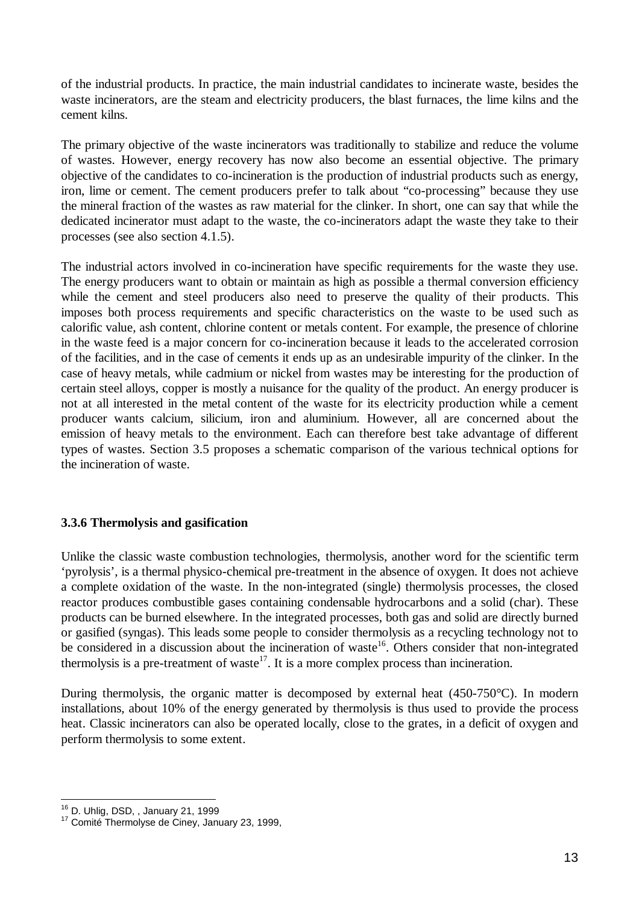of the industrial products. In practice, the main industrial candidates to incinerate waste, besides the waste incinerators, are the steam and electricity producers, the blast furnaces, the lime kilns and the cement kilns.

The primary objective of the waste incinerators was traditionally to stabilize and reduce the volume of wastes. However, energy recovery has now also become an essential objective. The primary objective of the candidates to co-incineration is the production of industrial products such as energy, iron, lime or cement. The cement producers prefer to talk about "co-processing" because they use the mineral fraction of the wastes as raw material for the clinker. In short, one can say that while the dedicated incinerator must adapt to the waste, the co-incinerators adapt the waste they take to their processes (see also section 4.1.5).

The industrial actors involved in co-incineration have specific requirements for the waste they use. The energy producers want to obtain or maintain as high as possible a thermal conversion efficiency while the cement and steel producers also need to preserve the quality of their products. This imposes both process requirements and specific characteristics on the waste to be used such as calorific value, ash content, chlorine content or metals content. For example, the presence of chlorine in the waste feed is a major concern for co-incineration because it leads to the accelerated corrosion of the facilities, and in the case of cements it ends up as an undesirable impurity of the clinker. In the case of heavy metals, while cadmium or nickel from wastes may be interesting for the production of certain steel alloys, copper is mostly a nuisance for the quality of the product. An energy producer is not at all interested in the metal content of the waste for its electricity production while a cement producer wants calcium, silicium, iron and aluminium. However, all are concerned about the emission of heavy metals to the environment. Each can therefore best take advantage of different types of wastes. Section 3.5 proposes a schematic comparison of the various technical options for the incineration of waste.

## **3.3.6 Thermolysis and gasification**

Unlike the classic waste combustion technologies, thermolysis, another word for the scientific term 'pyrolysis', is a thermal physico-chemical pre-treatment in the absence of oxygen. It does not achieve a complete oxidation of the waste. In the non-integrated (single) thermolysis processes, the closed reactor produces combustible gases containing condensable hydrocarbons and a solid (char). These products can be burned elsewhere. In the integrated processes, both gas and solid are directly burned or gasified (syngas). This leads some people to consider thermolysis as a recycling technology not to be considered in a discussion about the incineration of waste<sup>16</sup>. Others consider that non-integrated thermolysis is a pre-treatment of waste<sup>17</sup>. It is a more complex process than incineration.

During thermolysis, the organic matter is decomposed by external heat (450-750°C). In modern installations, about 10% of the energy generated by thermolysis is thus used to provide the process heat. Classic incinerators can also be operated locally, close to the grates, in a deficit of oxygen and perform thermolysis to some extent.

 $\overline{a}$ <sup>16</sup> D. Uhlig, DSD, , January 21, 1999

<sup>&</sup>lt;sup>17</sup> Comité Thermolyse de Ciney, January 23, 1999,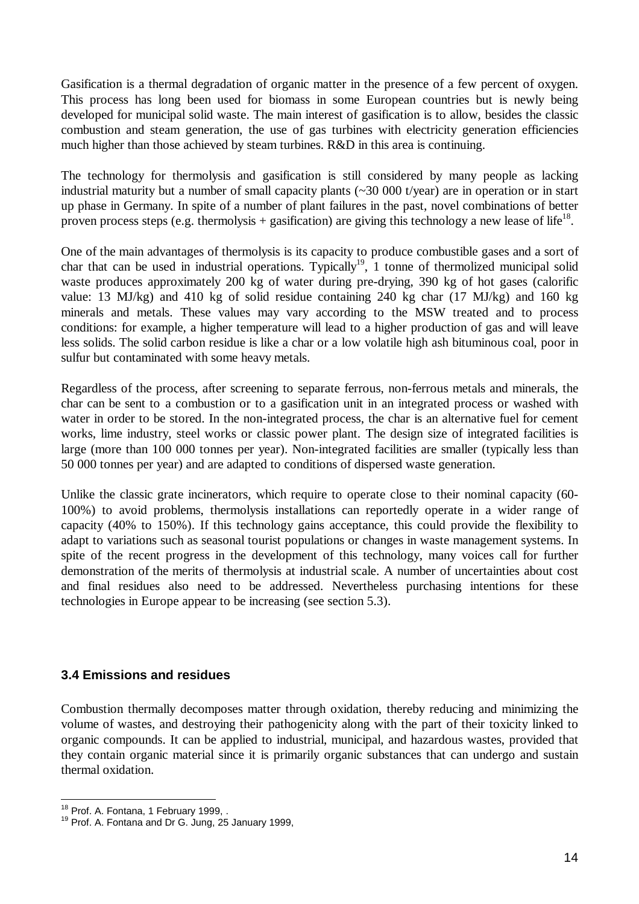Gasification is a thermal degradation of organic matter in the presence of a few percent of oxygen. This process has long been used for biomass in some European countries but is newly being developed for municipal solid waste. The main interest of gasification is to allow, besides the classic combustion and steam generation, the use of gas turbines with electricity generation efficiencies much higher than those achieved by steam turbines. R&D in this area is continuing.

The technology for thermolysis and gasification is still considered by many people as lacking industrial maturity but a number of small capacity plants (~30 000 t/year) are in operation or in start up phase in Germany. In spite of a number of plant failures in the past, novel combinations of better proven process steps (e.g. thermolysis + gasification) are giving this technology a new lease of life<sup>18</sup>.

One of the main advantages of thermolysis is its capacity to produce combustible gases and a sort of char that can be used in industrial operations. Typically<sup>19</sup>, 1 tonne of thermolized municipal solid waste produces approximately 200 kg of water during pre-drying, 390 kg of hot gases (calorific value: 13 MJ/kg) and 410 kg of solid residue containing 240 kg char (17 MJ/kg) and 160 kg minerals and metals. These values may vary according to the MSW treated and to process conditions: for example, a higher temperature will lead to a higher production of gas and will leave less solids. The solid carbon residue is like a char or a low volatile high ash bituminous coal, poor in sulfur but contaminated with some heavy metals.

Regardless of the process, after screening to separate ferrous, non-ferrous metals and minerals, the char can be sent to a combustion or to a gasification unit in an integrated process or washed with water in order to be stored. In the non-integrated process, the char is an alternative fuel for cement works, lime industry, steel works or classic power plant. The design size of integrated facilities is large (more than 100 000 tonnes per year). Non-integrated facilities are smaller (typically less than 50 000 tonnes per year) and are adapted to conditions of dispersed waste generation.

Unlike the classic grate incinerators, which require to operate close to their nominal capacity (60- 100%) to avoid problems, thermolysis installations can reportedly operate in a wider range of capacity (40% to 150%). If this technology gains acceptance, this could provide the flexibility to adapt to variations such as seasonal tourist populations or changes in waste management systems. In spite of the recent progress in the development of this technology, many voices call for further demonstration of the merits of thermolysis at industrial scale. A number of uncertainties about cost and final residues also need to be addressed. Nevertheless purchasing intentions for these technologies in Europe appear to be increasing (see section 5.3).

## **3.4 Emissions and residues**

Combustion thermally decomposes matter through oxidation, thereby reducing and minimizing the volume of wastes, and destroying their pathogenicity along with the part of their toxicity linked to organic compounds. It can be applied to industrial, municipal, and hazardous wastes, provided that they contain organic material since it is primarily organic substances that can undergo and sustain thermal oxidation.

 $\overline{a}$ <sup>18</sup> Prof. A. Fontana, 1 February 1999, .

<sup>&</sup>lt;sup>19</sup> Prof. A. Fontana and Dr G. Jung, 25 January 1999,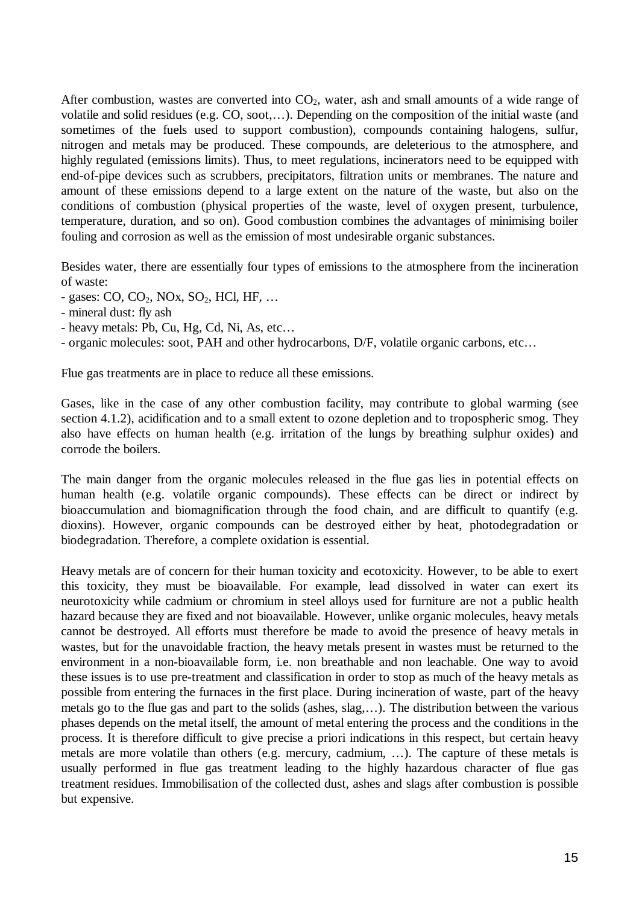After combustion, wastes are converted into  $CO<sub>2</sub>$ , water, ash and small amounts of a wide range of volatile and solid residues (e.g. CO, soot,… ). Depending on the composition of the initial waste (and sometimes of the fuels used to support combustion), compounds containing halogens, sulfur, nitrogen and metals may be produced. These compounds, are deleterious to the atmosphere, and highly regulated (emissions limits). Thus, to meet regulations, incinerators need to be equipped with end-of-pipe devices such as scrubbers, precipitators, filtration units or membranes. The nature and amount of these emissions depend to a large extent on the nature of the waste, but also on the conditions of combustion (physical properties of the waste, level of oxygen present, turbulence, temperature, duration, and so on). Good combustion combines the advantages of minimising boiler fouling and corrosion as well as the emission of most undesirable organic substances.

Besides water, there are essentially four types of emissions to the atmosphere from the incineration of waste:

- $-$  gases: CO, CO<sub>2</sub>, NO<sub>x</sub>, SO<sub>2</sub>, HCl, HF, ...
- mineral dust: fly ash
- heavy metals: Pb, Cu, Hg, Cd, Ni, As, etc…

- organic molecules: soot, PAH and other hydrocarbons, D/F, volatile organic carbons, etc…

Flue gas treatments are in place to reduce all these emissions.

Gases, like in the case of any other combustion facility, may contribute to global warming (see section 4.1.2), acidification and to a small extent to ozone depletion and to tropospheric smog. They also have effects on human health (e.g. irritation of the lungs by breathing sulphur oxides) and corrode the boilers.

The main danger from the organic molecules released in the flue gas lies in potential effects on human health (e.g. volatile organic compounds). These effects can be direct or indirect by bioaccumulation and biomagnification through the food chain, and are difficult to quantify (e.g. dioxins). However, organic compounds can be destroyed either by heat, photodegradation or biodegradation. Therefore, a complete oxidation is essential.

Heavy metals are of concern for their human toxicity and ecotoxicity. However, to be able to exert this toxicity, they must be bioavailable. For example, lead dissolved in water can exert its neurotoxicity while cadmium or chromium in steel alloys used for furniture are not a public health hazard because they are fixed and not bioavailable. However, unlike organic molecules, heavy metals cannot be destroyed. All efforts must therefore be made to avoid the presence of heavy metals in wastes, but for the unavoidable fraction, the heavy metals present in wastes must be returned to the environment in a non-bioavailable form, i.e. non breathable and non leachable. One way to avoid these issues is to use pre-treatment and classification in order to stop as much of the heavy metals as possible from entering the furnaces in the first place. During incineration of waste, part of the heavy metals go to the flue gas and part to the solids (ashes, slag,… ). The distribution between the various phases depends on the metal itself, the amount of metal entering the process and the conditions in the process. It is therefore difficult to give precise a priori indications in this respect, but certain heavy metals are more volatile than others (e.g. mercury, cadmium, … ). The capture of these metals is usually performed in flue gas treatment leading to the highly hazardous character of flue gas treatment residues. Immobilisation of the collected dust, ashes and slags after combustion is possible but expensive.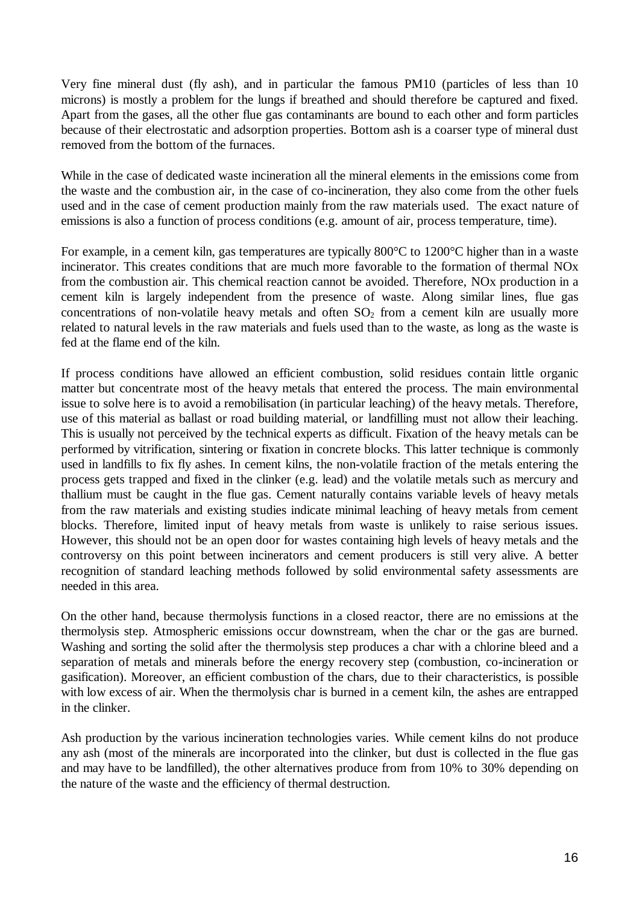Very fine mineral dust (fly ash), and in particular the famous PM10 (particles of less than 10 microns) is mostly a problem for the lungs if breathed and should therefore be captured and fixed. Apart from the gases, all the other flue gas contaminants are bound to each other and form particles because of their electrostatic and adsorption properties. Bottom ash is a coarser type of mineral dust removed from the bottom of the furnaces.

While in the case of dedicated waste incineration all the mineral elements in the emissions come from the waste and the combustion air, in the case of co-incineration, they also come from the other fuels used and in the case of cement production mainly from the raw materials used. The exact nature of emissions is also a function of process conditions (e.g. amount of air, process temperature, time).

For example, in a cement kiln, gas temperatures are typically 800°C to 1200°C higher than in a waste incinerator. This creates conditions that are much more favorable to the formation of thermal NOx from the combustion air. This chemical reaction cannot be avoided. Therefore, NOx production in a cement kiln is largely independent from the presence of waste. Along similar lines, flue gas concentrations of non-volatile heavy metals and often  $SO<sub>2</sub>$  from a cement kiln are usually more related to natural levels in the raw materials and fuels used than to the waste, as long as the waste is fed at the flame end of the kiln.

If process conditions have allowed an efficient combustion, solid residues contain little organic matter but concentrate most of the heavy metals that entered the process. The main environmental issue to solve here is to avoid a remobilisation (in particular leaching) of the heavy metals. Therefore, use of this material as ballast or road building material, or landfilling must not allow their leaching. This is usually not perceived by the technical experts as difficult. Fixation of the heavy metals can be performed by vitrification, sintering or fixation in concrete blocks. This latter technique is commonly used in landfills to fix fly ashes. In cement kilns, the non-volatile fraction of the metals entering the process gets trapped and fixed in the clinker (e.g. lead) and the volatile metals such as mercury and thallium must be caught in the flue gas. Cement naturally contains variable levels of heavy metals from the raw materials and existing studies indicate minimal leaching of heavy metals from cement blocks. Therefore, limited input of heavy metals from waste is unlikely to raise serious issues. However, this should not be an open door for wastes containing high levels of heavy metals and the controversy on this point between incinerators and cement producers is still very alive. A better recognition of standard leaching methods followed by solid environmental safety assessments are needed in this area.

On the other hand, because thermolysis functions in a closed reactor, there are no emissions at the thermolysis step. Atmospheric emissions occur downstream, when the char or the gas are burned. Washing and sorting the solid after the thermolysis step produces a char with a chlorine bleed and a separation of metals and minerals before the energy recovery step (combustion, co-incineration or gasification). Moreover, an efficient combustion of the chars, due to their characteristics, is possible with low excess of air. When the thermolysis char is burned in a cement kiln, the ashes are entrapped in the clinker.

Ash production by the various incineration technologies varies. While cement kilns do not produce any ash (most of the minerals are incorporated into the clinker, but dust is collected in the flue gas and may have to be landfilled), the other alternatives produce from from 10% to 30% depending on the nature of the waste and the efficiency of thermal destruction.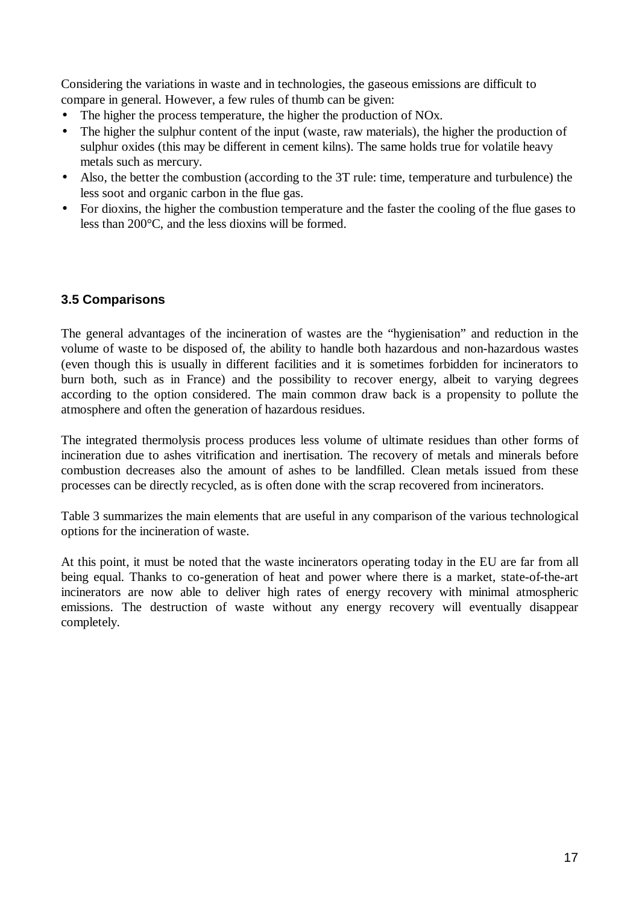Considering the variations in waste and in technologies, the gaseous emissions are difficult to compare in general. However, a few rules of thumb can be given:

- The higher the process temperature, the higher the production of NO<sub>x</sub>.
- The higher the sulphur content of the input (waste, raw materials), the higher the production of sulphur oxides (this may be different in cement kilns). The same holds true for volatile heavy metals such as mercury.
- Also, the better the combustion (according to the 3T rule: time, temperature and turbulence) the less soot and organic carbon in the flue gas.
- For dioxins, the higher the combustion temperature and the faster the cooling of the flue gases to less than 200°C, and the less dioxins will be formed.

## **3.5 Comparisons**

The general advantages of the incineration of wastes are the "hygienisation" and reduction in the volume of waste to be disposed of, the ability to handle both hazardous and non-hazardous wastes (even though this is usually in different facilities and it is sometimes forbidden for incinerators to burn both, such as in France) and the possibility to recover energy, albeit to varying degrees according to the option considered. The main common draw back is a propensity to pollute the atmosphere and often the generation of hazardous residues.

The integrated thermolysis process produces less volume of ultimate residues than other forms of incineration due to ashes vitrification and inertisation. The recovery of metals and minerals before combustion decreases also the amount of ashes to be landfilled. Clean metals issued from these processes can be directly recycled, as is often done with the scrap recovered from incinerators.

Table 3 summarizes the main elements that are useful in any comparison of the various technological options for the incineration of waste.

At this point, it must be noted that the waste incinerators operating today in the EU are far from all being equal. Thanks to co-generation of heat and power where there is a market, state-of-the-art incinerators are now able to deliver high rates of energy recovery with minimal atmospheric emissions. The destruction of waste without any energy recovery will eventually disappear completely.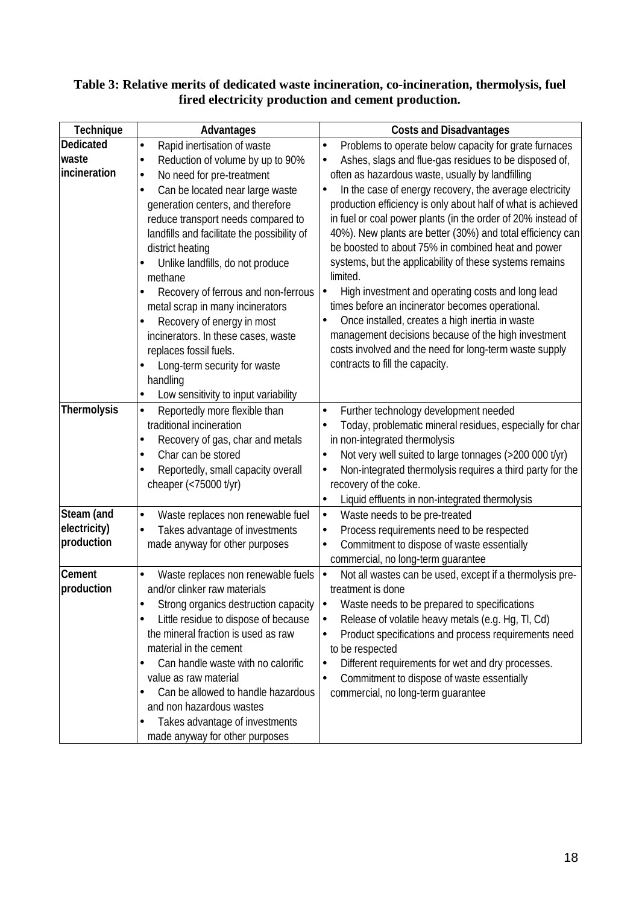## **Table 3: Relative merits of dedicated waste incineration, co-incineration, thermolysis, fuel fired electricity production and cement production.**

| Technique        | Advantages                                     | <b>Costs and Disadvantages</b>                                         |
|------------------|------------------------------------------------|------------------------------------------------------------------------|
| <b>Dedicated</b> | Rapid inertisation of waste<br>$\bullet$       | Problems to operate below capacity for grate furnaces<br>$\bullet$     |
| waste            | Reduction of volume by up to 90%<br>$\bullet$  | Ashes, slags and flue-gas residues to be disposed of,<br>$\bullet$     |
| incineration     | No need for pre-treatment<br>$\bullet$         | often as hazardous waste, usually by landfilling                       |
|                  | Can be located near large waste                | In the case of energy recovery, the average electricity<br>$\bullet$   |
|                  | generation centers, and therefore              | production efficiency is only about half of what is achieved           |
|                  | reduce transport needs compared to             | in fuel or coal power plants (in the order of 20% instead of           |
|                  | landfills and facilitate the possibility of    | 40%). New plants are better (30%) and total efficiency can             |
|                  | district heating                               | be boosted to about 75% in combined heat and power                     |
|                  | Unlike landfills, do not produce               | systems, but the applicability of these systems remains                |
|                  | methane                                        | limited.                                                               |
|                  | Recovery of ferrous and non-ferrous            | High investment and operating costs and long lead<br>$\bullet$         |
|                  | metal scrap in many incinerators               | times before an incinerator becomes operational.                       |
|                  | Recovery of energy in most<br>$\bullet$        | Once installed, creates a high inertia in waste<br>$\bullet$           |
|                  | incinerators. In these cases, waste            | management decisions because of the high investment                    |
|                  | replaces fossil fuels.                         | costs involved and the need for long-term waste supply                 |
|                  | Long-term security for waste                   | contracts to fill the capacity.                                        |
|                  | handling                                       |                                                                        |
|                  | Low sensitivity to input variability           |                                                                        |
| Thermolysis      | Reportedly more flexible than<br>$\bullet$     | Further technology development needed<br>$\bullet$                     |
|                  | traditional incineration                       | Today, problematic mineral residues, especially for char<br>$\bullet$  |
|                  | Recovery of gas, char and metals               | in non-integrated thermolysis                                          |
|                  | Char can be stored                             | Not very well suited to large tonnages (>200 000 t/yr)<br>$\bullet$    |
|                  | Reportedly, small capacity overall             | Non-integrated thermolysis requires a third party for the<br>$\bullet$ |
|                  | cheaper (<75000 t/yr)                          | recovery of the coke.                                                  |
|                  |                                                | Liquid effluents in non-integrated thermolysis<br>$\bullet$            |
| Steam (and       | Waste replaces non renewable fuel<br>$\bullet$ | Waste needs to be pre-treated<br>$\bullet$                             |
| electricity)     | Takes advantage of investments                 | Process requirements need to be respected<br>$\bullet$                 |
| production       | made anyway for other purposes                 | Commitment to dispose of waste essentially<br>$\bullet$                |
|                  |                                                | commercial, no long-term guarantee                                     |
| Cement           | Waste replaces non renewable fuels             | Not all wastes can be used, except if a thermolysis pre-<br>∣∙         |
| production       | and/or clinker raw materials                   | treatment is done                                                      |
|                  | Strong organics destruction capacity           | Waste needs to be prepared to specifications<br>∣∙                     |
|                  | Little residue to dispose of because           | Release of volatile heavy metals (e.g. Hg, Tl, Cd)<br>$\bullet$        |
|                  | the mineral fraction is used as raw            | Product specifications and process requirements need<br>$\bullet$      |
|                  | material in the cement                         | to be respected                                                        |
|                  | Can handle waste with no calorific             | Different requirements for wet and dry processes.<br>$\bullet$         |
|                  | value as raw material                          | Commitment to dispose of waste essentially<br>$\bullet$                |
|                  | Can be allowed to handle hazardous             | commercial, no long-term guarantee                                     |
|                  | and non hazardous wastes                       |                                                                        |
|                  | Takes advantage of investments                 |                                                                        |
|                  | made anyway for other purposes                 |                                                                        |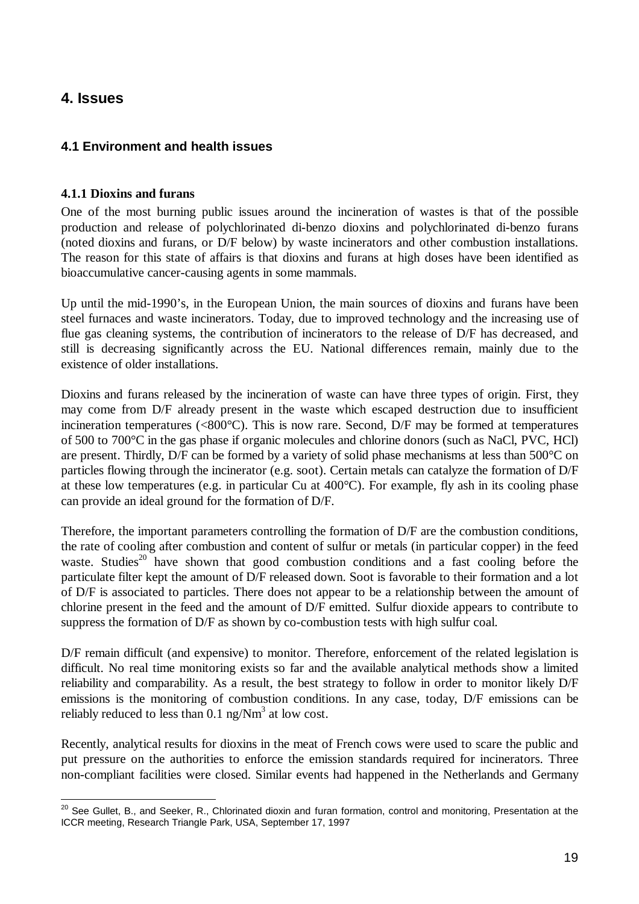# **4. Issues**

## **4.1 Environment and health issues**

#### **4.1.1 Dioxins and furans**

One of the most burning public issues around the incineration of wastes is that of the possible production and release of polychlorinated di-benzo dioxins and polychlorinated di-benzo furans (noted dioxins and furans, or D/F below) by waste incinerators and other combustion installations. The reason for this state of affairs is that dioxins and furans at high doses have been identified as bioaccumulative cancer-causing agents in some mammals.

Up until the mid-1990's, in the European Union, the main sources of dioxins and furans have been steel furnaces and waste incinerators. Today, due to improved technology and the increasing use of flue gas cleaning systems, the contribution of incinerators to the release of D/F has decreased, and still is decreasing significantly across the EU. National differences remain, mainly due to the existence of older installations.

Dioxins and furans released by the incineration of waste can have three types of origin. First, they may come from D/F already present in the waste which escaped destruction due to insufficient incineration temperatures (<800°C). This is now rare. Second, D/F may be formed at temperatures of 500 to 700°C in the gas phase if organic molecules and chlorine donors (such as NaCl, PVC, HCl) are present. Thirdly, D/F can be formed by a variety of solid phase mechanisms at less than 500°C on particles flowing through the incinerator (e.g. soot). Certain metals can catalyze the formation of D/F at these low temperatures (e.g. in particular Cu at 400°C). For example, fly ash in its cooling phase can provide an ideal ground for the formation of D/F.

Therefore, the important parameters controlling the formation of D/F are the combustion conditions, the rate of cooling after combustion and content of sulfur or metals (in particular copper) in the feed waste. Studies<sup>20</sup> have shown that good combustion conditions and a fast cooling before the particulate filter kept the amount of D/F released down. Soot is favorable to their formation and a lot of D/F is associated to particles. There does not appear to be a relationship between the amount of chlorine present in the feed and the amount of D/F emitted. Sulfur dioxide appears to contribute to suppress the formation of D/F as shown by co-combustion tests with high sulfur coal.

D/F remain difficult (and expensive) to monitor. Therefore, enforcement of the related legislation is difficult. No real time monitoring exists so far and the available analytical methods show a limited reliability and comparability. As a result, the best strategy to follow in order to monitor likely D/F emissions is the monitoring of combustion conditions. In any case, today, D/F emissions can be reliably reduced to less than  $0.1 \text{ ng/Nm}^3$  at low cost.

Recently, analytical results for dioxins in the meat of French cows were used to scare the public and put pressure on the authorities to enforce the emission standards required for incinerators. Three non-compliant facilities were closed. Similar events had happened in the Netherlands and Germany

 $\overline{a}$  $^{20}$  See Gullet, B., and Seeker, R., Chlorinated dioxin and furan formation, control and monitoring, Presentation at the ICCR meeting, Research Triangle Park, USA, September 17, 1997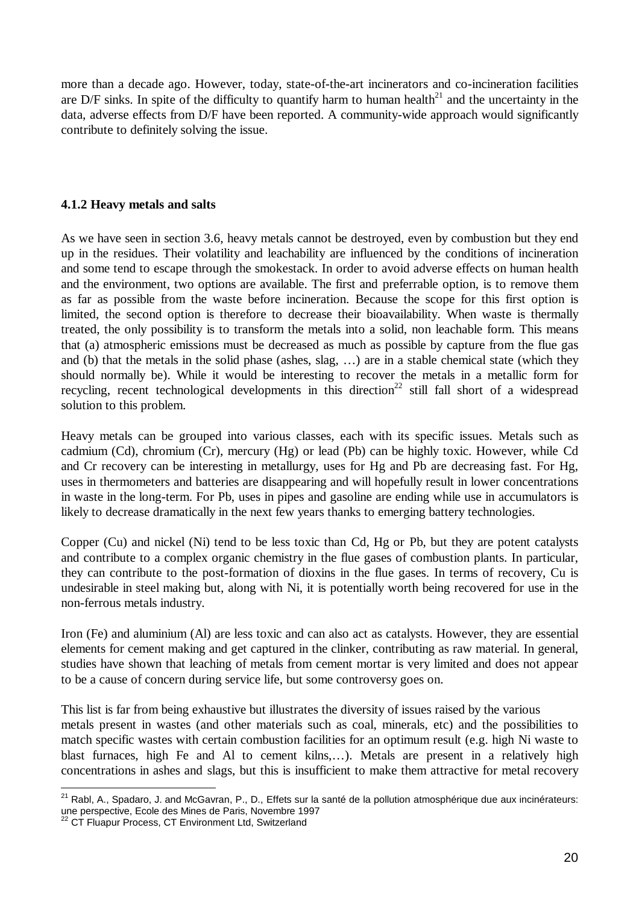more than a decade ago. However, today, state-of-the-art incinerators and co-incineration facilities are D/F sinks. In spite of the difficulty to quantify harm to human health $^{21}$  and the uncertainty in the data, adverse effects from D/F have been reported. A community-wide approach would significantly contribute to definitely solving the issue.

#### **4.1.2 Heavy metals and salts**

As we have seen in section 3.6, heavy metals cannot be destroyed, even by combustion but they end up in the residues. Their volatility and leachability are influenced by the conditions of incineration and some tend to escape through the smokestack. In order to avoid adverse effects on human health and the environment, two options are available. The first and preferrable option, is to remove them as far as possible from the waste before incineration. Because the scope for this first option is limited, the second option is therefore to decrease their bioavailability. When waste is thermally treated, the only possibility is to transform the metals into a solid, non leachable form. This means that (a) atmospheric emissions must be decreased as much as possible by capture from the flue gas and (b) that the metals in the solid phase (ashes, slag, … ) are in a stable chemical state (which they should normally be). While it would be interesting to recover the metals in a metallic form for recycling, recent technological developments in this direction<sup>22</sup> still fall short of a widespread solution to this problem.

Heavy metals can be grouped into various classes, each with its specific issues. Metals such as cadmium (Cd), chromium (Cr), mercury (Hg) or lead (Pb) can be highly toxic. However, while Cd and Cr recovery can be interesting in metallurgy, uses for Hg and Pb are decreasing fast. For Hg, uses in thermometers and batteries are disappearing and will hopefully result in lower concentrations in waste in the long-term. For Pb, uses in pipes and gasoline are ending while use in accumulators is likely to decrease dramatically in the next few years thanks to emerging battery technologies.

Copper (Cu) and nickel (Ni) tend to be less toxic than Cd, Hg or Pb, but they are potent catalysts and contribute to a complex organic chemistry in the flue gases of combustion plants. In particular, they can contribute to the post-formation of dioxins in the flue gases. In terms of recovery, Cu is undesirable in steel making but, along with Ni, it is potentially worth being recovered for use in the non-ferrous metals industry.

Iron (Fe) and aluminium (Al) are less toxic and can also act as catalysts. However, they are essential elements for cement making and get captured in the clinker, contributing as raw material. In general, studies have shown that leaching of metals from cement mortar is very limited and does not appear to be a cause of concern during service life, but some controversy goes on.

This list is far from being exhaustive but illustrates the diversity of issues raised by the various metals present in wastes (and other materials such as coal, minerals, etc) and the possibilities to match specific wastes with certain combustion facilities for an optimum result (e.g. high Ni waste to blast furnaces, high Fe and Al to cement kilns,… ). Metals are present in a relatively high concentrations in ashes and slags, but this is insufficient to make them attractive for metal recovery

l <sup>21</sup> Rabl, A., Spadaro, J. and McGavran, P., D., Effets sur la santé de la pollution atmosphérique due aux incinérateurs: une perspective, Ecole des Mines de Paris, Novembre 1997

<sup>&</sup>lt;sup>22</sup> CT Fluapur Process, CT Environment Ltd, Switzerland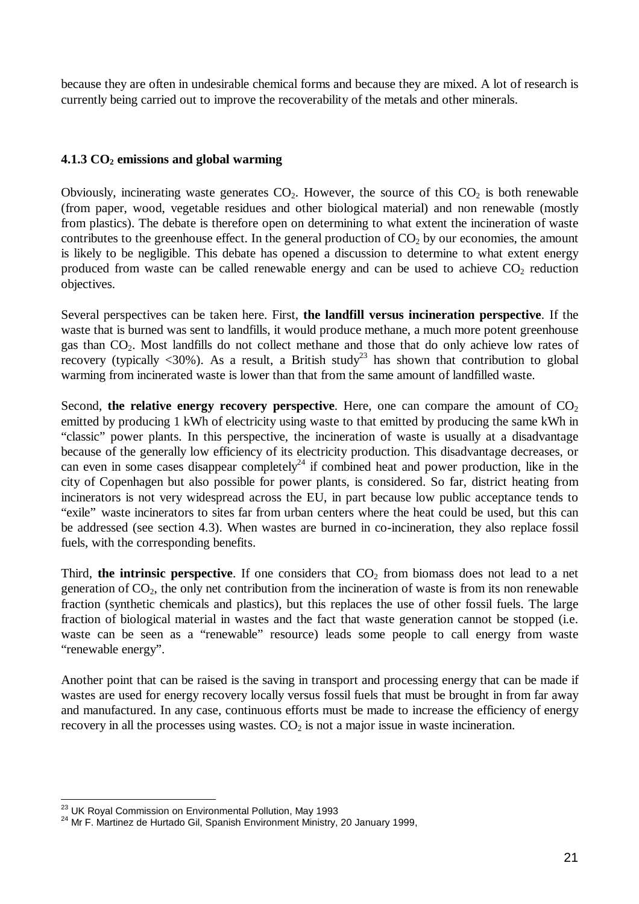because they are often in undesirable chemical forms and because they are mixed. A lot of research is currently being carried out to improve the recoverability of the metals and other minerals.

## **4.1.3 CO2 emissions and global warming**

Obviously, incinerating waste generates  $CO<sub>2</sub>$ . However, the source of this  $CO<sub>2</sub>$  is both renewable (from paper, wood, vegetable residues and other biological material) and non renewable (mostly from plastics). The debate is therefore open on determining to what extent the incineration of waste contributes to the greenhouse effect. In the general production of  $CO<sub>2</sub>$  by our economies, the amount is likely to be negligible. This debate has opened a discussion to determine to what extent energy produced from waste can be called renewable energy and can be used to achieve  $CO<sub>2</sub>$  reduction objectives.

Several perspectives can be taken here. First, **the landfill versus incineration perspective**. If the waste that is burned was sent to landfills, it would produce methane, a much more potent greenhouse gas than CO2. Most landfills do not collect methane and those that do only achieve low rates of recovery (typically  $\langle 30\% \rangle$ ). As a result, a British study<sup>23</sup> has shown that contribution to global warming from incinerated waste is lower than that from the same amount of landfilled waste.

Second, the relative energy recovery perspective. Here, one can compare the amount of  $CO<sub>2</sub>$ emitted by producing 1 kWh of electricity using waste to that emitted by producing the same kWh in "classic" power plants. In this perspective, the incineration of waste is usually at a disadvantage because of the generally low efficiency of its electricity production. This disadvantage decreases, or can even in some cases disappear completely<sup>24</sup> if combined heat and power production, like in the city of Copenhagen but also possible for power plants, is considered. So far, district heating from incinerators is not very widespread across the EU, in part because low public acceptance tends to "exile" waste incinerators to sites far from urban centers where the heat could be used, but this can be addressed (see section 4.3). When wastes are burned in co-incineration, they also replace fossil fuels, with the corresponding benefits.

Third, the intrinsic perspective. If one considers that  $CO<sub>2</sub>$  from biomass does not lead to a net generation of  $CO<sub>2</sub>$ , the only net contribution from the incineration of waste is from its non renewable fraction (synthetic chemicals and plastics), but this replaces the use of other fossil fuels. The large fraction of biological material in wastes and the fact that waste generation cannot be stopped (i.e. waste can be seen as a "renewable" resource) leads some people to call energy from waste "renewable energy".

Another point that can be raised is the saving in transport and processing energy that can be made if wastes are used for energy recovery locally versus fossil fuels that must be brought in from far away and manufactured. In any case, continuous efforts must be made to increase the efficiency of energy recovery in all the processes using wastes.  $CO<sub>2</sub>$  is not a major issue in waste incineration.

 $\overline{a}$ 

<sup>&</sup>lt;sup>23</sup> UK Royal Commission on Environmental Pollution, May 1993

 $24$  Mr F. Martinez de Hurtado Gil, Spanish Environment Ministry, 20 January 1999,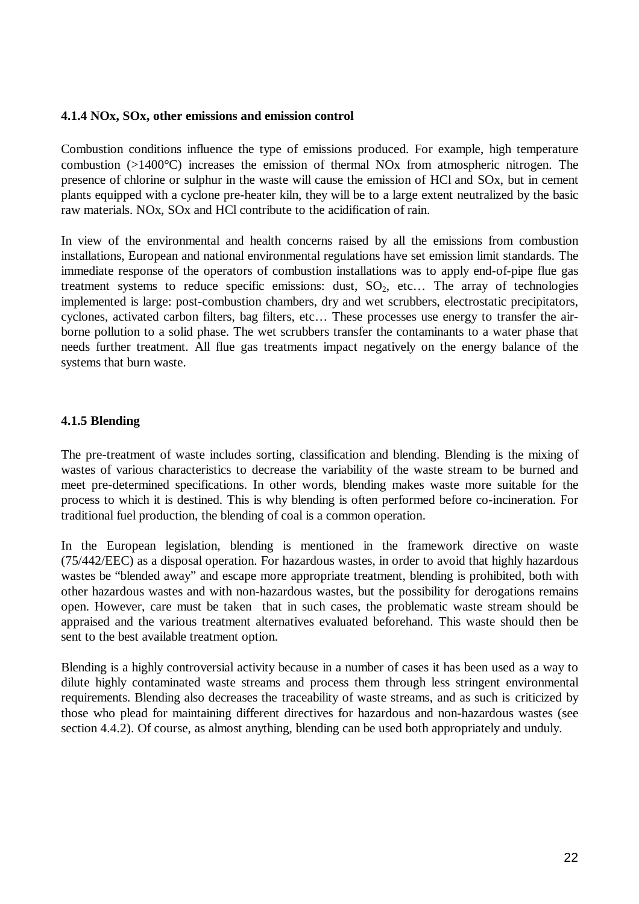#### **4.1.4 NOx, SOx, other emissions and emission control**

Combustion conditions influence the type of emissions produced. For example, high temperature combustion (>1400°C) increases the emission of thermal NOx from atmospheric nitrogen. The presence of chlorine or sulphur in the waste will cause the emission of HCl and SOx, but in cement plants equipped with a cyclone pre-heater kiln, they will be to a large extent neutralized by the basic raw materials. NOx, SOx and HCl contribute to the acidification of rain.

In view of the environmental and health concerns raised by all the emissions from combustion installations, European and national environmental regulations have set emission limit standards. The immediate response of the operators of combustion installations was to apply end-of-pipe flue gas treatment systems to reduce specific emissions: dust,  $SO_2$ , etc... The array of technologies implemented is large: post-combustion chambers, dry and wet scrubbers, electrostatic precipitators, cyclones, activated carbon filters, bag filters, etc… These processes use energy to transfer the airborne pollution to a solid phase. The wet scrubbers transfer the contaminants to a water phase that needs further treatment. All flue gas treatments impact negatively on the energy balance of the systems that burn waste.

## **4.1.5 Blending**

The pre-treatment of waste includes sorting, classification and blending. Blending is the mixing of wastes of various characteristics to decrease the variability of the waste stream to be burned and meet pre-determined specifications. In other words, blending makes waste more suitable for the process to which it is destined. This is why blending is often performed before co-incineration. For traditional fuel production, the blending of coal is a common operation.

In the European legislation, blending is mentioned in the framework directive on waste (75/442/EEC) as a disposal operation. For hazardous wastes, in order to avoid that highly hazardous wastes be "blended away" and escape more appropriate treatment, blending is prohibited, both with other hazardous wastes and with non-hazardous wastes, but the possibility for derogations remains open. However, care must be taken that in such cases, the problematic waste stream should be appraised and the various treatment alternatives evaluated beforehand. This waste should then be sent to the best available treatment option.

Blending is a highly controversial activity because in a number of cases it has been used as a way to dilute highly contaminated waste streams and process them through less stringent environmental requirements. Blending also decreases the traceability of waste streams, and as such is criticized by those who plead for maintaining different directives for hazardous and non-hazardous wastes (see section 4.4.2). Of course, as almost anything, blending can be used both appropriately and unduly.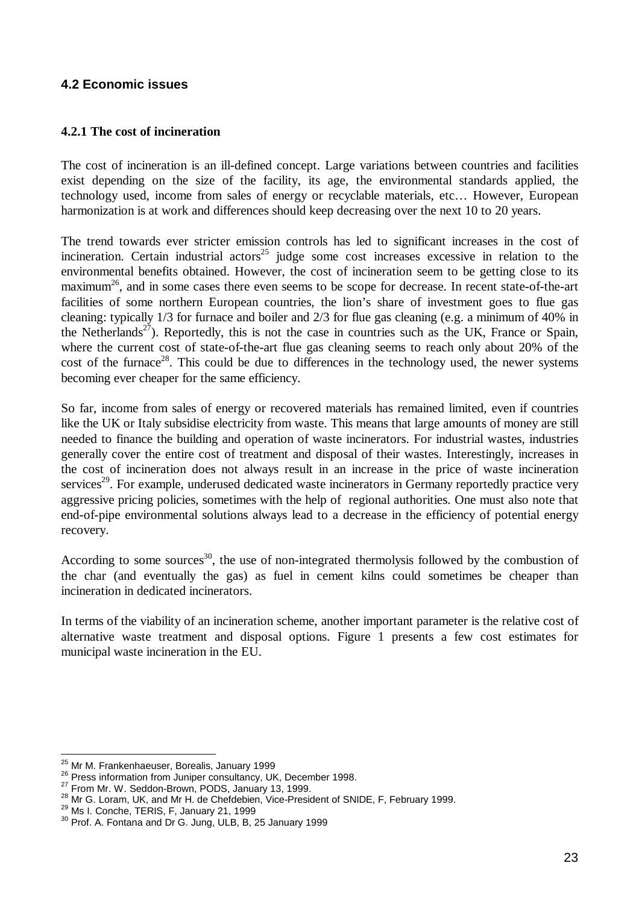## **4.2 Economic issues**

#### **4.2.1 The cost of incineration**

The cost of incineration is an ill-defined concept. Large variations between countries and facilities exist depending on the size of the facility, its age, the environmental standards applied, the technology used, income from sales of energy or recyclable materials, etc… However, European harmonization is at work and differences should keep decreasing over the next 10 to 20 years.

The trend towards ever stricter emission controls has led to significant increases in the cost of incineration. Certain industrial actors<sup>25</sup> judge some cost increases excessive in relation to the environmental benefits obtained. However, the cost of incineration seem to be getting close to its maximum<sup>26</sup>, and in some cases there even seems to be scope for decrease. In recent state-of-the-art facilities of some northern European countries, the lion's share of investment goes to flue gas cleaning: typically 1/3 for furnace and boiler and 2/3 for flue gas cleaning (e.g. a minimum of 40% in the Netherlands<sup>27</sup>). Reportedly, this is not the case in countries such as the UK, France or Spain, where the current cost of state-of-the-art flue gas cleaning seems to reach only about 20% of the cost of the furnace<sup>28</sup>. This could be due to differences in the technology used, the newer systems becoming ever cheaper for the same efficiency.

So far, income from sales of energy or recovered materials has remained limited, even if countries like the UK or Italy subsidise electricity from waste. This means that large amounts of money are still needed to finance the building and operation of waste incinerators. For industrial wastes, industries generally cover the entire cost of treatment and disposal of their wastes. Interestingly, increases in the cost of incineration does not always result in an increase in the price of waste incineration services<sup>29</sup>. For example, underused dedicated waste incinerators in Germany reportedly practice very aggressive pricing policies, sometimes with the help of regional authorities. One must also note that end-of-pipe environmental solutions always lead to a decrease in the efficiency of potential energy recovery.

According to some sources<sup>30</sup>, the use of non-integrated thermolysis followed by the combustion of the char (and eventually the gas) as fuel in cement kilns could sometimes be cheaper than incineration in dedicated incinerators.

In terms of the viability of an incineration scheme, another important parameter is the relative cost of alternative waste treatment and disposal options. Figure 1 presents a few cost estimates for municipal waste incineration in the EU.

 $\overline{a}$ 

<sup>&</sup>lt;sup>25</sup> Mr M. Frankenhaeuser, Borealis, January 1999

<sup>&</sup>lt;sup>26</sup> Press information from Juniper consultancy, UK, December 1998.

<sup>27</sup> From Mr. W. Seddon-Brown, PODS, January 13, 1999. <sup>28</sup> Mr G. Loram, UK, and Mr H. de Chefdebien, Vice-President of SNIDE, F, February 1999.

<sup>&</sup>lt;sup>29</sup> Ms I. Conche, TERIS, F, January 21, 1999

<sup>&</sup>lt;sup>30</sup> Prof. A. Fontana and Dr G. Jung, ULB, B, 25 January 1999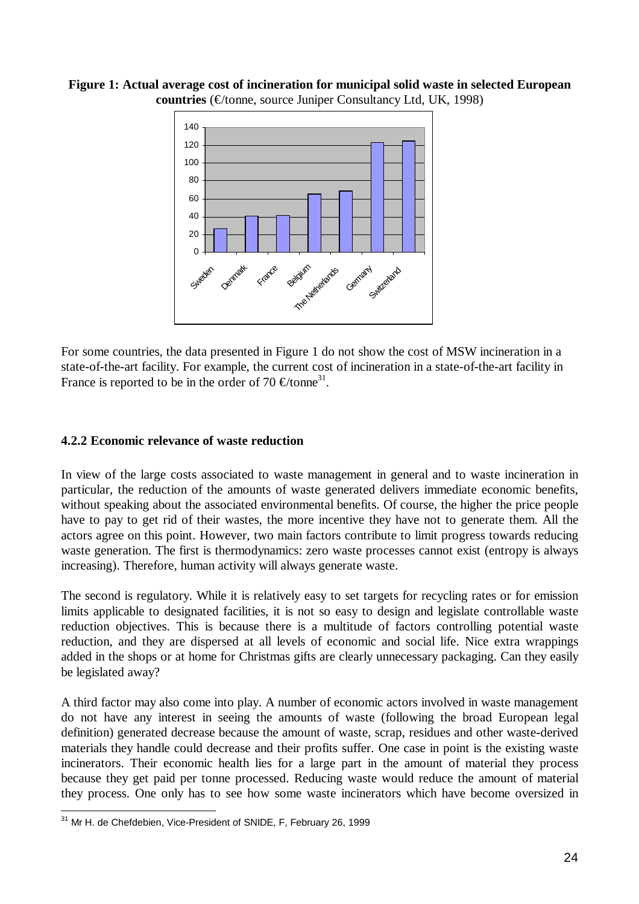**Figure 1: Actual average cost of incineration for municipal solid waste in selected European countries** (€/tonne, source Juniper Consultancy Ltd, UK, 1998)



For some countries, the data presented in Figure 1 do not show the cost of MSW incineration in a state-of-the-art facility. For example, the current cost of incineration in a state-of-the-art facility in France is reported to be in the order of 70  $\in$ /tonne<sup>31</sup>.

#### **4.2.2 Economic relevance of waste reduction**

In view of the large costs associated to waste management in general and to waste incineration in particular, the reduction of the amounts of waste generated delivers immediate economic benefits, without speaking about the associated environmental benefits. Of course, the higher the price people have to pay to get rid of their wastes, the more incentive they have not to generate them. All the actors agree on this point. However, two main factors contribute to limit progress towards reducing waste generation. The first is thermodynamics: zero waste processes cannot exist (entropy is always increasing). Therefore, human activity will always generate waste.

The second is regulatory. While it is relatively easy to set targets for recycling rates or for emission limits applicable to designated facilities, it is not so easy to design and legislate controllable waste reduction objectives. This is because there is a multitude of factors controlling potential waste reduction, and they are dispersed at all levels of economic and social life. Nice extra wrappings added in the shops or at home for Christmas gifts are clearly unnecessary packaging. Can they easily be legislated away?

A third factor may also come into play. A number of economic actors involved in waste management do not have any interest in seeing the amounts of waste (following the broad European legal definition) generated decrease because the amount of waste, scrap, residues and other waste-derived materials they handle could decrease and their profits suffer. One case in point is the existing waste incinerators. Their economic health lies for a large part in the amount of material they process because they get paid per tonne processed. Reducing waste would reduce the amount of material they process. One only has to see how some waste incinerators which have become oversized in

 $\overline{a}$ <sup>31</sup> Mr H. de Chefdebien, Vice-President of SNIDE, F, February 26, 1999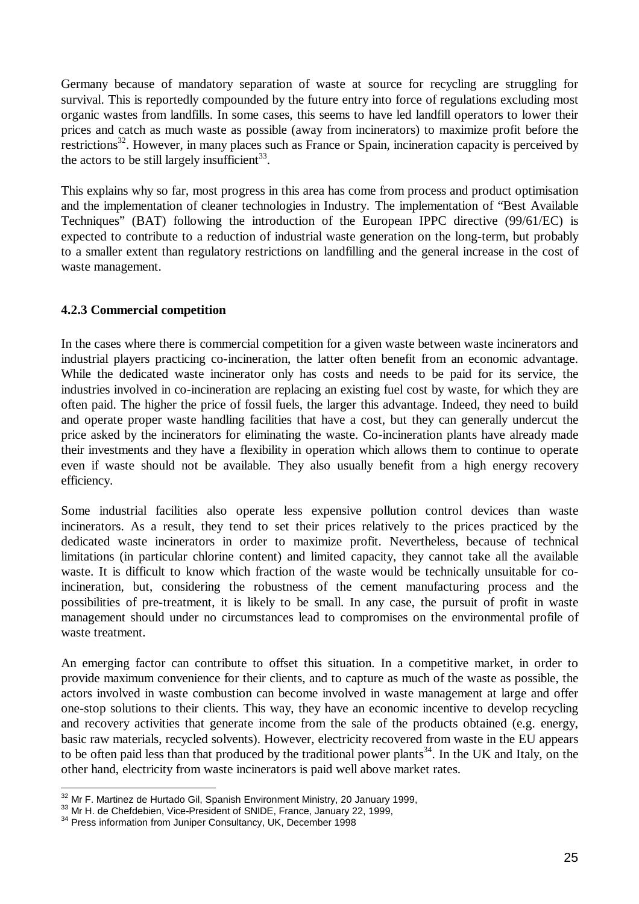Germany because of mandatory separation of waste at source for recycling are struggling for survival. This is reportedly compounded by the future entry into force of regulations excluding most organic wastes from landfills. In some cases, this seems to have led landfill operators to lower their prices and catch as much waste as possible (away from incinerators) to maximize profit before the restrictions<sup>32</sup>. However, in many places such as France or Spain, incineration capacity is perceived by the actors to be still largely insufficient $^{33}$ .

This explains why so far, most progress in this area has come from process and product optimisation and the implementation of cleaner technologies in Industry. The implementation of "Best Available Techniques" (BAT) following the introduction of the European IPPC directive (99/61/EC) is expected to contribute to a reduction of industrial waste generation on the long-term, but probably to a smaller extent than regulatory restrictions on landfilling and the general increase in the cost of waste management.

## **4.2.3 Commercial competition**

In the cases where there is commercial competition for a given waste between waste incinerators and industrial players practicing co-incineration, the latter often benefit from an economic advantage. While the dedicated waste incinerator only has costs and needs to be paid for its service, the industries involved in co-incineration are replacing an existing fuel cost by waste, for which they are often paid. The higher the price of fossil fuels, the larger this advantage. Indeed, they need to build and operate proper waste handling facilities that have a cost, but they can generally undercut the price asked by the incinerators for eliminating the waste. Co-incineration plants have already made their investments and they have a flexibility in operation which allows them to continue to operate even if waste should not be available. They also usually benefit from a high energy recovery efficiency.

Some industrial facilities also operate less expensive pollution control devices than waste incinerators. As a result, they tend to set their prices relatively to the prices practiced by the dedicated waste incinerators in order to maximize profit. Nevertheless, because of technical limitations (in particular chlorine content) and limited capacity, they cannot take all the available waste. It is difficult to know which fraction of the waste would be technically unsuitable for coincineration, but, considering the robustness of the cement manufacturing process and the possibilities of pre-treatment, it is likely to be small. In any case, the pursuit of profit in waste management should under no circumstances lead to compromises on the environmental profile of waste treatment.

An emerging factor can contribute to offset this situation. In a competitive market, in order to provide maximum convenience for their clients, and to capture as much of the waste as possible, the actors involved in waste combustion can become involved in waste management at large and offer one-stop solutions to their clients. This way, they have an economic incentive to develop recycling and recovery activities that generate income from the sale of the products obtained (e.g. energy, basic raw materials, recycled solvents). However, electricity recovered from waste in the EU appears to be often paid less than that produced by the traditional power plants<sup>34</sup>. In the UK and Italy, on the other hand, electricity from waste incinerators is paid well above market rates.

l  $32$  Mr F. Martinez de Hurtado Gil, Spanish Environment Ministry, 20 January 1999,

<sup>&</sup>lt;sup>33</sup> Mr H. de Chefdebien, Vice-President of SNIDE, France, January 22, 1999,

<sup>&</sup>lt;sup>34</sup> Press information from Juniper Consultancy, UK, December 1998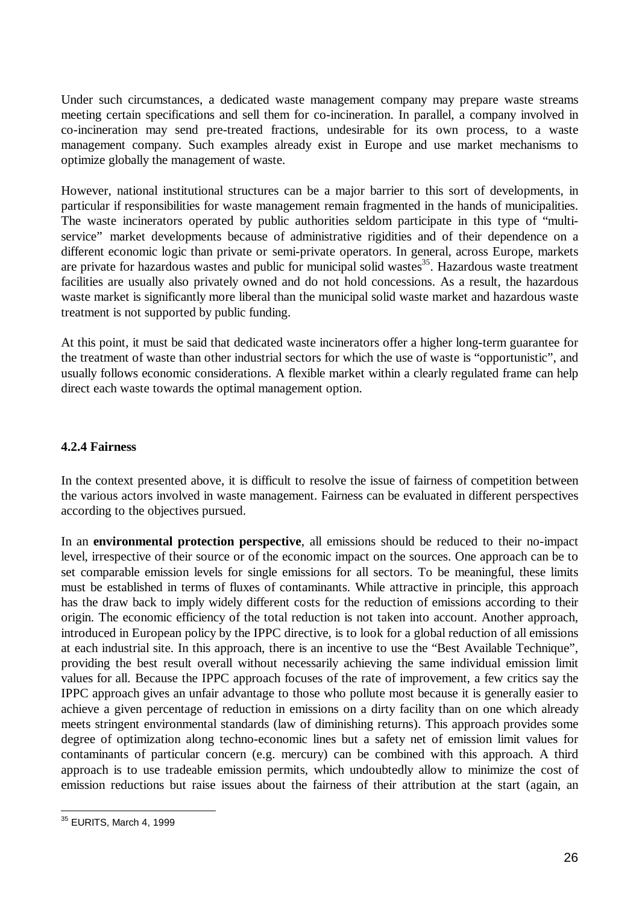Under such circumstances, a dedicated waste management company may prepare waste streams meeting certain specifications and sell them for co-incineration. In parallel, a company involved in co-incineration may send pre-treated fractions, undesirable for its own process, to a waste management company. Such examples already exist in Europe and use market mechanisms to optimize globally the management of waste.

However, national institutional structures can be a major barrier to this sort of developments, in particular if responsibilities for waste management remain fragmented in the hands of municipalities. The waste incinerators operated by public authorities seldom participate in this type of "multiservice" market developments because of administrative rigidities and of their dependence on a different economic logic than private or semi-private operators. In general, across Europe, markets are private for hazardous wastes and public for municipal solid wastes<sup>35</sup>. Hazardous waste treatment facilities are usually also privately owned and do not hold concessions. As a result, the hazardous waste market is significantly more liberal than the municipal solid waste market and hazardous waste treatment is not supported by public funding.

At this point, it must be said that dedicated waste incinerators offer a higher long-term guarantee for the treatment of waste than other industrial sectors for which the use of waste is "opportunistic", and usually follows economic considerations. A flexible market within a clearly regulated frame can help direct each waste towards the optimal management option.

## **4.2.4 Fairness**

In the context presented above, it is difficult to resolve the issue of fairness of competition between the various actors involved in waste management. Fairness can be evaluated in different perspectives according to the objectives pursued.

In an **environmental protection perspective**, all emissions should be reduced to their no-impact level, irrespective of their source or of the economic impact on the sources. One approach can be to set comparable emission levels for single emissions for all sectors. To be meaningful, these limits must be established in terms of fluxes of contaminants. While attractive in principle, this approach has the draw back to imply widely different costs for the reduction of emissions according to their origin. The economic efficiency of the total reduction is not taken into account. Another approach, introduced in European policy by the IPPC directive, is to look for a global reduction of all emissions at each industrial site. In this approach, there is an incentive to use the "Best Available Technique", providing the best result overall without necessarily achieving the same individual emission limit values for all. Because the IPPC approach focuses of the rate of improvement, a few critics say the IPPC approach gives an unfair advantage to those who pollute most because it is generally easier to achieve a given percentage of reduction in emissions on a dirty facility than on one which already meets stringent environmental standards (law of diminishing returns). This approach provides some degree of optimization along techno-economic lines but a safety net of emission limit values for contaminants of particular concern (e.g. mercury) can be combined with this approach. A third approach is to use tradeable emission permits, which undoubtedly allow to minimize the cost of emission reductions but raise issues about the fairness of their attribution at the start (again, an

 $\overline{a}$ <sup>35</sup> EURITS, March 4, 1999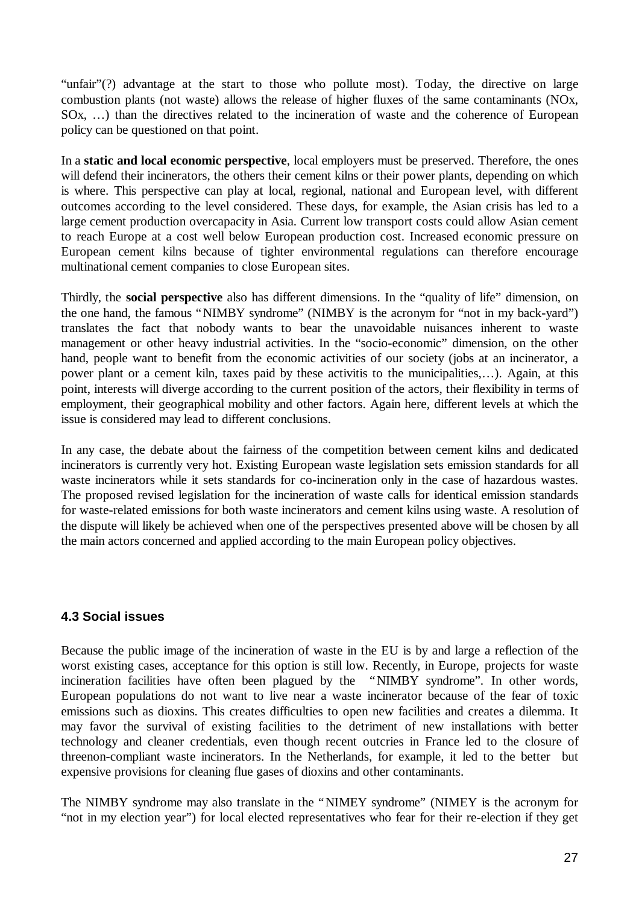"unfair"(?) advantage at the start to those who pollute most). Today, the directive on large combustion plants (not waste) allows the release of higher fluxes of the same contaminants (NOx, SOx, … ) than the directives related to the incineration of waste and the coherence of European policy can be questioned on that point.

In a **static and local economic perspective**, local employers must be preserved. Therefore, the ones will defend their incinerators, the others their cement kilns or their power plants, depending on which is where. This perspective can play at local, regional, national and European level, with different outcomes according to the level considered. These days, for example, the Asian crisis has led to a large cement production overcapacity in Asia. Current low transport costs could allow Asian cement to reach Europe at a cost well below European production cost. Increased economic pressure on European cement kilns because of tighter environmental regulations can therefore encourage multinational cement companies to close European sites.

Thirdly, the **social perspective** also has different dimensions. In the "quality of life" dimension, on the one hand, the famous "NIMBY syndrome" (NIMBY is the acronym for "not in my back-yard") translates the fact that nobody wants to bear the unavoidable nuisances inherent to waste management or other heavy industrial activities. In the "socio-economic" dimension, on the other hand, people want to benefit from the economic activities of our society (jobs at an incinerator, a power plant or a cement kiln, taxes paid by these activitis to the municipalities,… ). Again, at this point, interests will diverge according to the current position of the actors, their flexibility in terms of employment, their geographical mobility and other factors. Again here, different levels at which the issue is considered may lead to different conclusions.

In any case, the debate about the fairness of the competition between cement kilns and dedicated incinerators is currently very hot. Existing European waste legislation sets emission standards for all waste incinerators while it sets standards for co-incineration only in the case of hazardous wastes. The proposed revised legislation for the incineration of waste calls for identical emission standards for waste-related emissions for both waste incinerators and cement kilns using waste. A resolution of the dispute will likely be achieved when one of the perspectives presented above will be chosen by all the main actors concerned and applied according to the main European policy objectives.

## **4.3 Social issues**

Because the public image of the incineration of waste in the EU is by and large a reflection of the worst existing cases, acceptance for this option is still low. Recently, in Europe, projects for waste incineration facilities have often been plagued by the "NIMBY syndrome". In other words, European populations do not want to live near a waste incinerator because of the fear of toxic emissions such as dioxins. This creates difficulties to open new facilities and creates a dilemma. It may favor the survival of existing facilities to the detriment of new installations with better technology and cleaner credentials, even though recent outcries in France led to the closure of threenon-compliant waste incinerators. In the Netherlands, for example, it led to the better but expensive provisions for cleaning flue gases of dioxins and other contaminants.

The NIMBY syndrome may also translate in the "NIMEY syndrome" (NIMEY is the acronym for "not in my election year") for local elected representatives who fear for their re-election if they get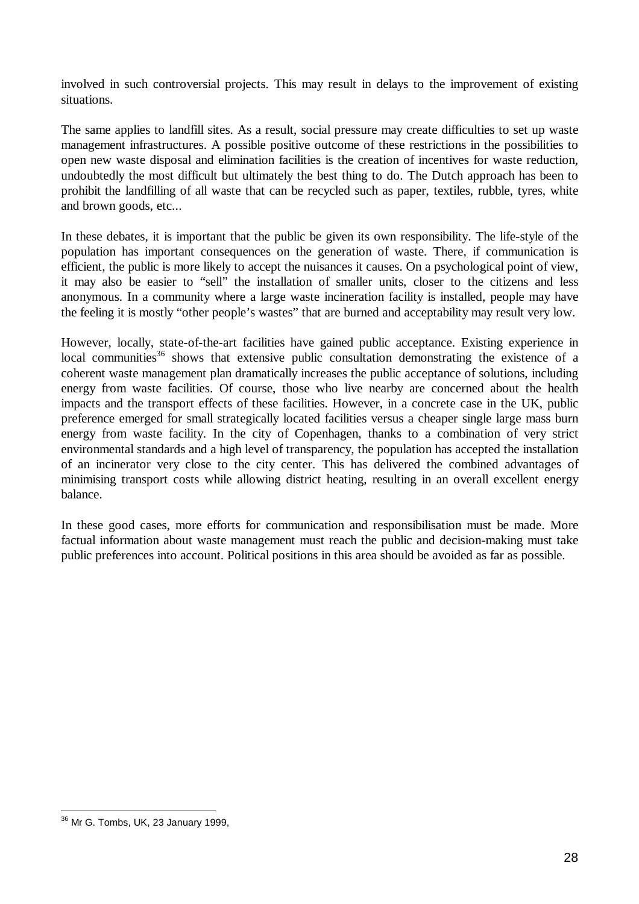involved in such controversial projects. This may result in delays to the improvement of existing situations.

The same applies to landfill sites. As a result, social pressure may create difficulties to set up waste management infrastructures. A possible positive outcome of these restrictions in the possibilities to open new waste disposal and elimination facilities is the creation of incentives for waste reduction, undoubtedly the most difficult but ultimately the best thing to do. The Dutch approach has been to prohibit the landfilling of all waste that can be recycled such as paper, textiles, rubble, tyres, white and brown goods, etc...

In these debates, it is important that the public be given its own responsibility. The life-style of the population has important consequences on the generation of waste. There, if communication is efficient, the public is more likely to accept the nuisances it causes. On a psychological point of view, it may also be easier to "sell" the installation of smaller units, closer to the citizens and less anonymous. In a community where a large waste incineration facility is installed, people may have the feeling it is mostly "other people's wastes" that are burned and acceptability may result very low.

However, locally, state-of-the-art facilities have gained public acceptance. Existing experience in local communities<sup>36</sup> shows that extensive public consultation demonstrating the existence of a coherent waste management plan dramatically increases the public acceptance of solutions, including energy from waste facilities. Of course, those who live nearby are concerned about the health impacts and the transport effects of these facilities. However, in a concrete case in the UK, public preference emerged for small strategically located facilities versus a cheaper single large mass burn energy from waste facility. In the city of Copenhagen, thanks to a combination of very strict environmental standards and a high level of transparency, the population has accepted the installation of an incinerator very close to the city center. This has delivered the combined advantages of minimising transport costs while allowing district heating, resulting in an overall excellent energy balance.

In these good cases, more efforts for communication and responsibilisation must be made. More factual information about waste management must reach the public and decision-making must take public preferences into account. Political positions in this area should be avoided as far as possible.

 $\overline{a}$ <sup>36</sup> Mr G. Tombs, UK, 23 January 1999,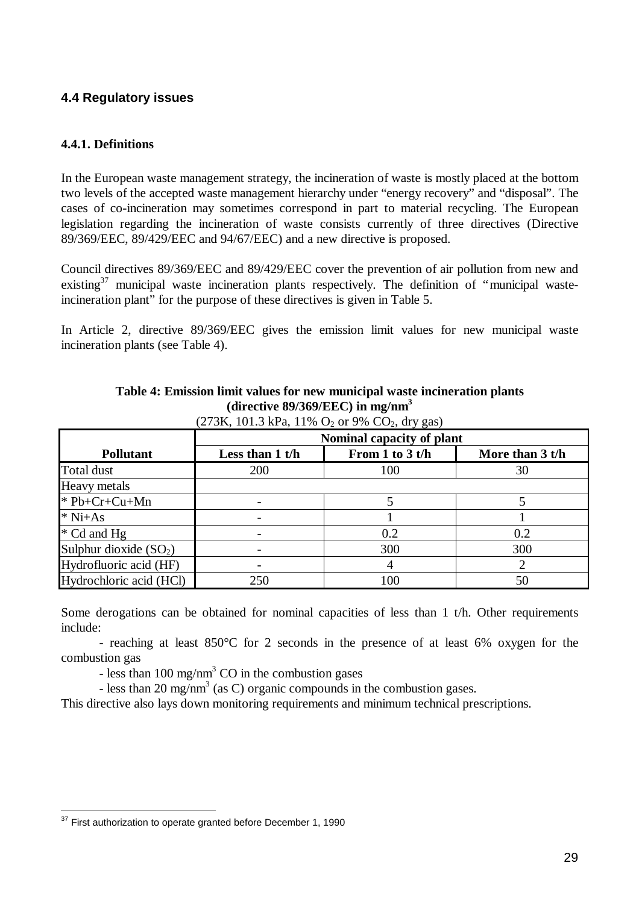## **4.4 Regulatory issues**

## **4.4.1. Definitions**

In the European waste management strategy, the incineration of waste is mostly placed at the bottom two levels of the accepted waste management hierarchy under "energy recovery" and "disposal". The cases of co-incineration may sometimes correspond in part to material recycling. The European legislation regarding the incineration of waste consists currently of three directives (Directive 89/369/EEC, 89/429/EEC and 94/67/EEC) and a new directive is proposed.

Council directives 89/369/EEC and 89/429/EEC cover the prevention of air pollution from new and existing<sup>37</sup> municipal waste incineration plants respectively. The definition of "municipal wasteincineration plant" for the purpose of these directives is given in Table 5.

In Article 2, directive 89/369/EEC gives the emission limit values for new municipal waste incineration plants (see Table 4).

|                          | Nominal capacity of plant                                 |     |     |  |  |  |
|--------------------------|-----------------------------------------------------------|-----|-----|--|--|--|
| <b>Pollutant</b>         | From 1 to 3 t/h<br>Less than $1$ t/h<br>More than $3 t/h$ |     |     |  |  |  |
| Total dust               | 200                                                       | 100 | 30  |  |  |  |
| Heavy metals             |                                                           |     |     |  |  |  |
| $*$ Pb+Cr+Cu+Mn          |                                                           |     |     |  |  |  |
| $*$ Ni+As                |                                                           |     |     |  |  |  |
| * Cd and Hg              |                                                           | 0.2 | 0.2 |  |  |  |
| Sulphur dioxide $(SO_2)$ |                                                           | 300 | 300 |  |  |  |
| Hydrofluoric acid (HF)   |                                                           |     |     |  |  |  |
| Hydrochloric acid (HCl)  | 250                                                       | 100 | 50  |  |  |  |

**Table 4: Emission limit values for new municipal waste incineration plants (directive 89/369/EEC) in mg/nm<sup>3</sup>**

 $(273K, 101.3 \text{ kPa}, 11\% \text{ O}$  or 9% CO<sub>2</sub>, dry gas)

Some derogations can be obtained for nominal capacities of less than 1 t/h. Other requirements include:

- reaching at least 850°C for 2 seconds in the presence of at least 6% oxygen for the combustion gas

- less than  $100 \text{ mg/nm}^3$  CO in the combustion gases

- less than 20 mg/nm<sup>3</sup> (as C) organic compounds in the combustion gases.

This directive also lays down monitoring requirements and minimum technical prescriptions.

 $\overline{a}$  $37$  First authorization to operate granted before December 1, 1990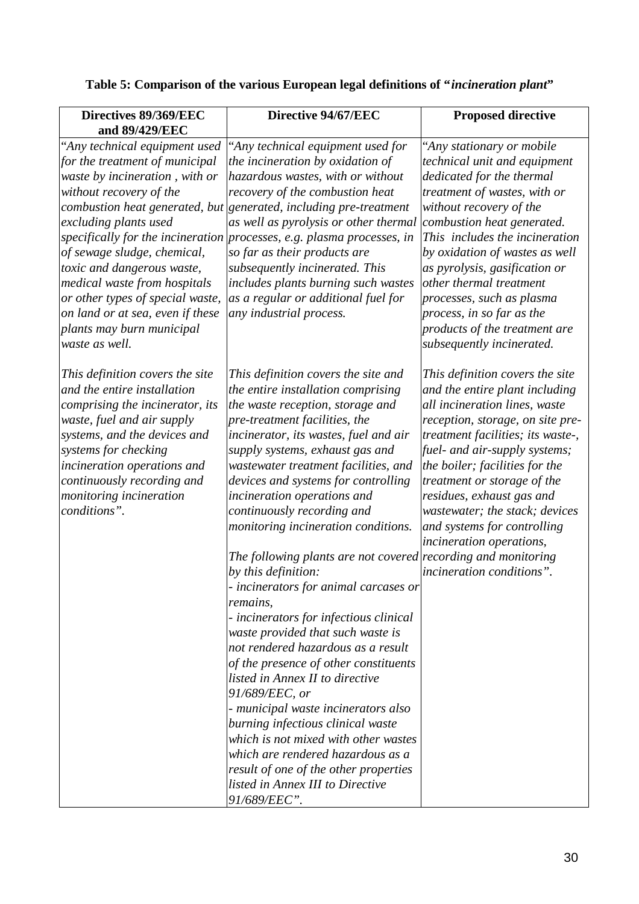| Directives 89/369/EEC<br>and 89/429/EEC                                                                                                                                                                                                                                                                                                                                   | Directive 94/67/EEC                                                                                                                                                                                                                                                                                                                                                                                                                                                                                                                                                                                                | <b>Proposed directive</b>                                                                                                                                                                                                                                                                                                                                                                                                               |
|---------------------------------------------------------------------------------------------------------------------------------------------------------------------------------------------------------------------------------------------------------------------------------------------------------------------------------------------------------------------------|--------------------------------------------------------------------------------------------------------------------------------------------------------------------------------------------------------------------------------------------------------------------------------------------------------------------------------------------------------------------------------------------------------------------------------------------------------------------------------------------------------------------------------------------------------------------------------------------------------------------|-----------------------------------------------------------------------------------------------------------------------------------------------------------------------------------------------------------------------------------------------------------------------------------------------------------------------------------------------------------------------------------------------------------------------------------------|
| "Any technical equipment used<br>for the treatment of municipal<br>waste by incineration, with or<br>without recovery of the<br>excluding plants used<br>of sewage sludge, chemical,<br>toxic and dangerous waste,<br>medical waste from hospitals<br>or other types of special waste,<br>on land or at sea, even if these<br>plants may burn municipal<br>waste as well. | 'Any technical equipment used for<br>the incineration by oxidation of<br>hazardous wastes, with or without<br>recovery of the combustion heat<br>combustion heat generated, but generated, including pre-treatment<br>as well as pyrolysis or other thermal<br>specifically for the incineration processes, e.g. plasma processes, in<br>so far as their products are<br>subsequently incinerated. This<br>includes plants burning such wastes<br>as a regular or additional fuel for<br>any industrial process.                                                                                                   | "Any stationary or mobile<br>technical unit and equipment<br>dedicated for the thermal<br>treatment of wastes, with or<br>without recovery of the<br>combustion heat generated.<br>This includes the incineration<br>by oxidation of wastes as well<br>as pyrolysis, gasification or<br>other thermal treatment<br>processes, such as plasma<br>process, in so far as the<br>products of the treatment are<br>subsequently incinerated. |
| This definition covers the site<br>and the entire installation<br>comprising the incinerator, its<br>waste, fuel and air supply<br>systems, and the devices and<br>systems for checking<br>incineration operations and<br>continuously recording and<br>monitoring incineration<br>conditions".                                                                           | This definition covers the site and<br>the entire installation comprising<br>the waste reception, storage and<br>pre-treatment facilities, the<br>incinerator, its wastes, fuel and air<br>supply systems, exhaust gas and<br>wastewater treatment facilities, and<br>devices and systems for controlling<br>incineration operations and<br>continuously recording and<br>monitoring incineration conditions.                                                                                                                                                                                                      | This definition covers the site<br>and the entire plant including<br>all incineration lines, waste<br>reception, storage, on site pre-<br>treatment facilities; its waste-,<br>fuel- and air-supply systems;<br>the boiler; facilities for the<br>treatment or storage of the<br>residues, exhaust gas and<br>wastewater; the stack; devices<br>and systems for controlling<br>incineration operations,                                 |
|                                                                                                                                                                                                                                                                                                                                                                           | The following plants are not covered recording and monitoring<br>by this definition:<br>- incinerators for animal carcases or<br>remains,<br>- incinerators for infectious clinical<br>waste provided that such waste is<br>not rendered hazardous as a result<br>of the presence of other constituents<br>listed in Annex II to directive<br>91/689/EEC, or<br>- municipal waste incinerators also<br>burning infectious clinical waste<br>which is not mixed with other wastes<br>which are rendered hazardous as a<br>result of one of the other properties<br>listed in Annex III to Directive<br>91/689/EEC". | incineration conditions".                                                                                                                                                                                                                                                                                                                                                                                                               |

# **Table 5: Comparison of the various European legal definitions of "***incineration plant***"**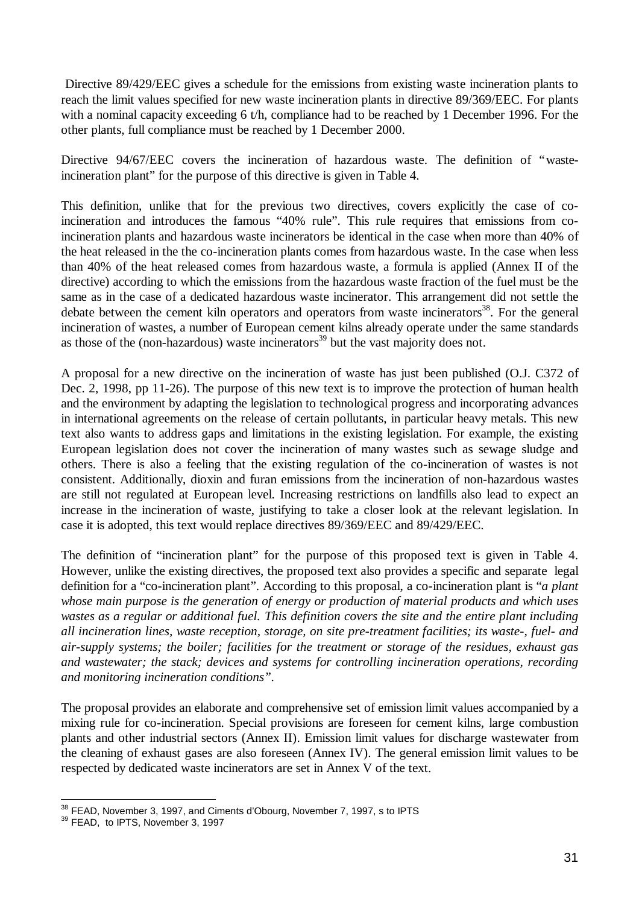Directive 89/429/EEC gives a schedule for the emissions from existing waste incineration plants to reach the limit values specified for new waste incineration plants in directive 89/369/EEC. For plants with a nominal capacity exceeding 6 t/h, compliance had to be reached by 1 December 1996. For the other plants, full compliance must be reached by 1 December 2000.

Directive 94/67/EEC covers the incineration of hazardous waste. The definition of "wasteincineration plant" for the purpose of this directive is given in Table 4.

This definition, unlike that for the previous two directives, covers explicitly the case of coincineration and introduces the famous "40% rule". This rule requires that emissions from coincineration plants and hazardous waste incinerators be identical in the case when more than 40% of the heat released in the the co-incineration plants comes from hazardous waste. In the case when less than 40% of the heat released comes from hazardous waste, a formula is applied (Annex II of the directive) according to which the emissions from the hazardous waste fraction of the fuel must be the same as in the case of a dedicated hazardous waste incinerator. This arrangement did not settle the debate between the cement kiln operators and operators from waste incinerators<sup>38</sup>. For the general incineration of wastes, a number of European cement kilns already operate under the same standards as those of the (non-hazardous) waste incinerators<sup>39</sup> but the vast majority does not.

A proposal for a new directive on the incineration of waste has just been published (O.J. C372 of Dec. 2, 1998, pp 11-26). The purpose of this new text is to improve the protection of human health and the environment by adapting the legislation to technological progress and incorporating advances in international agreements on the release of certain pollutants, in particular heavy metals. This new text also wants to address gaps and limitations in the existing legislation. For example, the existing European legislation does not cover the incineration of many wastes such as sewage sludge and others. There is also a feeling that the existing regulation of the co-incineration of wastes is not consistent. Additionally, dioxin and furan emissions from the incineration of non-hazardous wastes are still not regulated at European level. Increasing restrictions on landfills also lead to expect an increase in the incineration of waste, justifying to take a closer look at the relevant legislation. In case it is adopted, this text would replace directives 89/369/EEC and 89/429/EEC.

The definition of "incineration plant" for the purpose of this proposed text is given in Table 4. However, unlike the existing directives, the proposed text also provides a specific and separate legal definition for a "co-incineration plant". According to this proposal, a co-incineration plant is "*a plant whose main purpose is the generation of energy or production of material products and which uses wastes as a regular or additional fuel. This definition covers the site and the entire plant including all incineration lines, waste reception, storage, on site pre-treatment facilities; its waste-, fuel- and air-supply systems; the boiler; facilities for the treatment or storage of the residues, exhaust gas and wastewater; the stack; devices and systems for controlling incineration operations, recording and monitoring incineration conditions".*

The proposal provides an elaborate and comprehensive set of emission limit values accompanied by a mixing rule for co-incineration. Special provisions are foreseen for cement kilns, large combustion plants and other industrial sectors (Annex II). Emission limit values for discharge wastewater from the cleaning of exhaust gases are also foreseen (Annex IV). The general emission limit values to be respected by dedicated waste incinerators are set in Annex V of the text.

 $\overline{a}$ 

 $38$  FEAD, November 3, 1997, and Ciments d'Obourg, November 7, 1997, s to IPTS

<sup>&</sup>lt;sup>39</sup> FEAD, to IPTS, November 3, 1997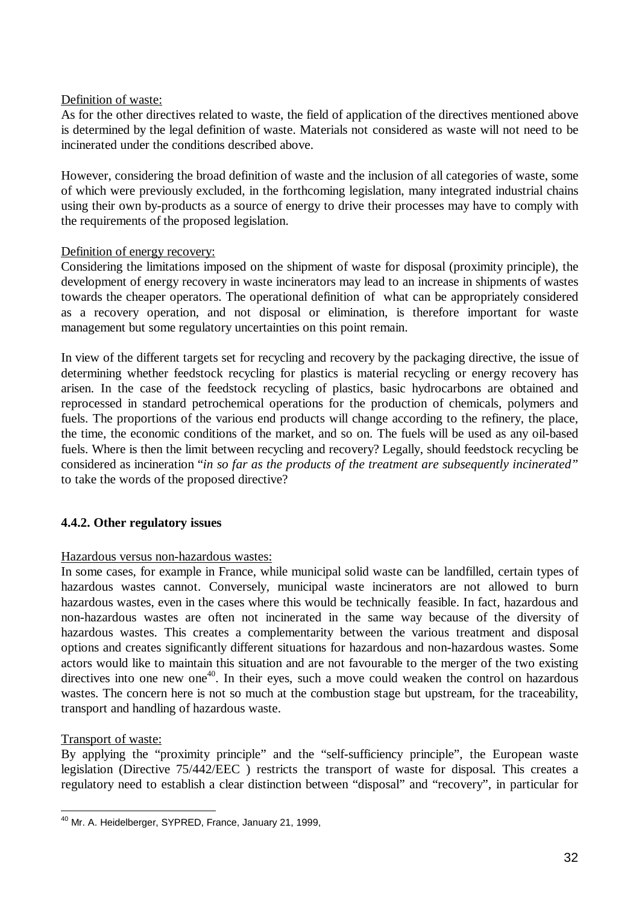#### Definition of waste:

As for the other directives related to waste, the field of application of the directives mentioned above is determined by the legal definition of waste. Materials not considered as waste will not need to be incinerated under the conditions described above.

However, considering the broad definition of waste and the inclusion of all categories of waste, some of which were previously excluded, in the forthcoming legislation, many integrated industrial chains using their own by-products as a source of energy to drive their processes may have to comply with the requirements of the proposed legislation.

#### Definition of energy recovery:

Considering the limitations imposed on the shipment of waste for disposal (proximity principle), the development of energy recovery in waste incinerators may lead to an increase in shipments of wastes towards the cheaper operators. The operational definition of what can be appropriately considered as a recovery operation, and not disposal or elimination, is therefore important for waste management but some regulatory uncertainties on this point remain.

In view of the different targets set for recycling and recovery by the packaging directive, the issue of determining whether feedstock recycling for plastics is material recycling or energy recovery has arisen. In the case of the feedstock recycling of plastics, basic hydrocarbons are obtained and reprocessed in standard petrochemical operations for the production of chemicals, polymers and fuels. The proportions of the various end products will change according to the refinery, the place, the time, the economic conditions of the market, and so on. The fuels will be used as any oil-based fuels. Where is then the limit between recycling and recovery? Legally, should feedstock recycling be considered as incineration "*in so far as the products of the treatment are subsequently incinerated"* to take the words of the proposed directive?

## **4.4.2. Other regulatory issues**

## Hazardous versus non-hazardous wastes:

In some cases, for example in France, while municipal solid waste can be landfilled, certain types of hazardous wastes cannot. Conversely, municipal waste incinerators are not allowed to burn hazardous wastes, even in the cases where this would be technically feasible. In fact, hazardous and non-hazardous wastes are often not incinerated in the same way because of the diversity of hazardous wastes. This creates a complementarity between the various treatment and disposal options and creates significantly different situations for hazardous and non-hazardous wastes. Some actors would like to maintain this situation and are not favourable to the merger of the two existing directives into one new one<sup>40</sup>. In their eyes, such a move could weaken the control on hazardous wastes. The concern here is not so much at the combustion stage but upstream, for the traceability, transport and handling of hazardous waste.

## Transport of waste:

By applying the "proximity principle" and the "self-sufficiency principle", the European waste legislation (Directive 75/442/EEC ) restricts the transport of waste for disposal. This creates a regulatory need to establish a clear distinction between "disposal" and "recovery", in particular for

 $\overline{a}$ <sup>40</sup> Mr. A. Heidelberger, SYPRED, France, January 21, 1999,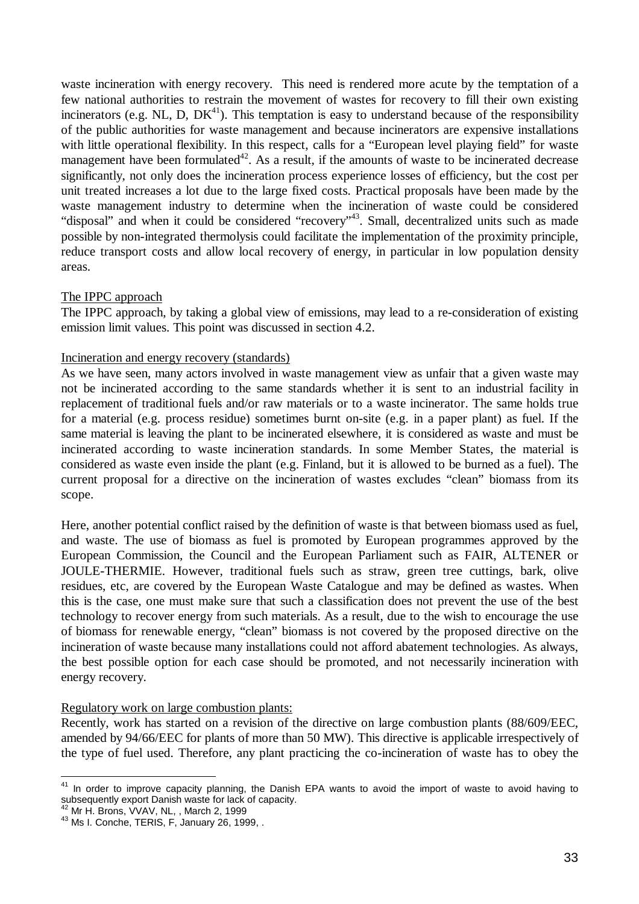waste incineration with energy recovery. This need is rendered more acute by the temptation of a few national authorities to restrain the movement of wastes for recovery to fill their own existing incinerators (e.g. NL, D,  $DK^{41}$ ). This temptation is easy to understand because of the responsibility of the public authorities for waste management and because incinerators are expensive installations with little operational flexibility. In this respect, calls for a "European level playing field" for waste management have been formulated<sup>42</sup>. As a result, if the amounts of waste to be incinerated decrease significantly, not only does the incineration process experience losses of efficiency, but the cost per unit treated increases a lot due to the large fixed costs. Practical proposals have been made by the waste management industry to determine when the incineration of waste could be considered "disposal" and when it could be considered "recovery"<sup>43</sup>. Small, decentralized units such as made possible by non-integrated thermolysis could facilitate the implementation of the proximity principle, reduce transport costs and allow local recovery of energy, in particular in low population density areas.

#### The IPPC approach

The IPPC approach, by taking a global view of emissions, may lead to a re-consideration of existing emission limit values. This point was discussed in section 4.2.

#### Incineration and energy recovery (standards)

As we have seen, many actors involved in waste management view as unfair that a given waste may not be incinerated according to the same standards whether it is sent to an industrial facility in replacement of traditional fuels and/or raw materials or to a waste incinerator. The same holds true for a material (e.g. process residue) sometimes burnt on-site (e.g. in a paper plant) as fuel. If the same material is leaving the plant to be incinerated elsewhere, it is considered as waste and must be incinerated according to waste incineration standards. In some Member States, the material is considered as waste even inside the plant (e.g. Finland, but it is allowed to be burned as a fuel). The current proposal for a directive on the incineration of wastes excludes "clean" biomass from its scope.

Here, another potential conflict raised by the definition of waste is that between biomass used as fuel, and waste. The use of biomass as fuel is promoted by European programmes approved by the European Commission, the Council and the European Parliament such as FAIR, ALTENER or JOULE-THERMIE. However, traditional fuels such as straw, green tree cuttings, bark, olive residues, etc, are covered by the European Waste Catalogue and may be defined as wastes. When this is the case, one must make sure that such a classification does not prevent the use of the best technology to recover energy from such materials. As a result, due to the wish to encourage the use of biomass for renewable energy, "clean" biomass is not covered by the proposed directive on the incineration of waste because many installations could not afford abatement technologies. As always, the best possible option for each case should be promoted, and not necessarily incineration with energy recovery.

#### Regulatory work on large combustion plants:

Recently, work has started on a revision of the directive on large combustion plants (88/609/EEC, amended by 94/66/EEC for plants of more than 50 MW). This directive is applicable irrespectively of the type of fuel used. Therefore, any plant practicing the co-incineration of waste has to obey the

l  $41$  In order to improve capacity planning, the Danish EPA wants to avoid the import of waste to avoid having to subsequently export Danish waste for lack of capacity.

<sup>42</sup> Mr H. Brons, VVAV, NL, , March 2, 1999

<sup>&</sup>lt;sup>43</sup> Ms I. Conche, TERIS, F, January 26, 1999, .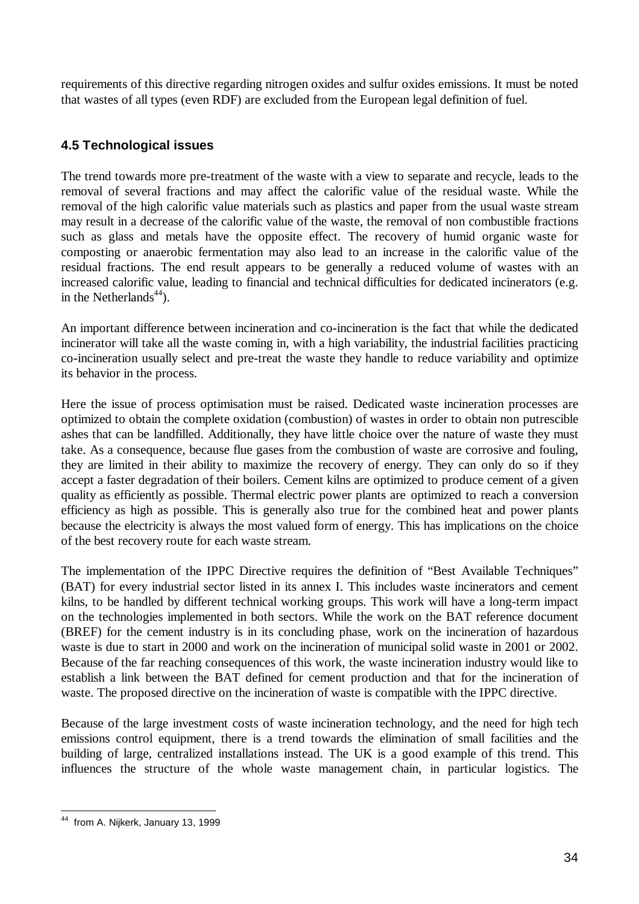requirements of this directive regarding nitrogen oxides and sulfur oxides emissions. It must be noted that wastes of all types (even RDF) are excluded from the European legal definition of fuel.

## **4.5 Technological issues**

The trend towards more pre-treatment of the waste with a view to separate and recycle, leads to the removal of several fractions and may affect the calorific value of the residual waste. While the removal of the high calorific value materials such as plastics and paper from the usual waste stream may result in a decrease of the calorific value of the waste, the removal of non combustible fractions such as glass and metals have the opposite effect. The recovery of humid organic waste for composting or anaerobic fermentation may also lead to an increase in the calorific value of the residual fractions. The end result appears to be generally a reduced volume of wastes with an increased calorific value, leading to financial and technical difficulties for dedicated incinerators (e.g. in the Netherlands<sup>44</sup>).

An important difference between incineration and co-incineration is the fact that while the dedicated incinerator will take all the waste coming in, with a high variability, the industrial facilities practicing co-incineration usually select and pre-treat the waste they handle to reduce variability and optimize its behavior in the process.

Here the issue of process optimisation must be raised. Dedicated waste incineration processes are optimized to obtain the complete oxidation (combustion) of wastes in order to obtain non putrescible ashes that can be landfilled. Additionally, they have little choice over the nature of waste they must take. As a consequence, because flue gases from the combustion of waste are corrosive and fouling, they are limited in their ability to maximize the recovery of energy. They can only do so if they accept a faster degradation of their boilers. Cement kilns are optimized to produce cement of a given quality as efficiently as possible. Thermal electric power plants are optimized to reach a conversion efficiency as high as possible. This is generally also true for the combined heat and power plants because the electricity is always the most valued form of energy. This has implications on the choice of the best recovery route for each waste stream.

The implementation of the IPPC Directive requires the definition of "Best Available Techniques" (BAT) for every industrial sector listed in its annex I. This includes waste incinerators and cement kilns, to be handled by different technical working groups. This work will have a long-term impact on the technologies implemented in both sectors. While the work on the BAT reference document (BREF) for the cement industry is in its concluding phase, work on the incineration of hazardous waste is due to start in 2000 and work on the incineration of municipal solid waste in 2001 or 2002. Because of the far reaching consequences of this work, the waste incineration industry would like to establish a link between the BAT defined for cement production and that for the incineration of waste. The proposed directive on the incineration of waste is compatible with the IPPC directive.

Because of the large investment costs of waste incineration technology, and the need for high tech emissions control equipment, there is a trend towards the elimination of small facilities and the building of large, centralized installations instead. The UK is a good example of this trend. This influences the structure of the whole waste management chain, in particular logistics. The

 $\overline{a}$ <sup>44</sup> from A. Nijkerk, January 13, 1999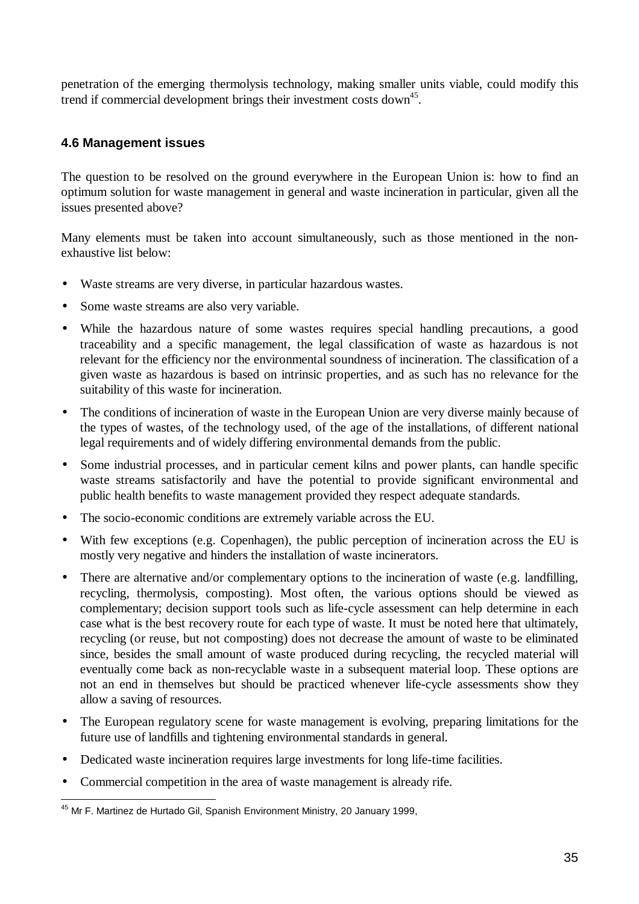penetration of the emerging thermolysis technology, making smaller units viable, could modify this trend if commercial development brings their investment costs down<sup>45</sup>.

## **4.6 Management issues**

The question to be resolved on the ground everywhere in the European Union is: how to find an optimum solution for waste management in general and waste incineration in particular, given all the issues presented above?

Many elements must be taken into account simultaneously, such as those mentioned in the nonexhaustive list below:

- Waste streams are very diverse, in particular hazardous wastes.
- Some waste streams are also very variable.
- While the hazardous nature of some wastes requires special handling precautions, a good traceability and a specific management, the legal classification of waste as hazardous is not relevant for the efficiency nor the environmental soundness of incineration. The classification of a given waste as hazardous is based on intrinsic properties, and as such has no relevance for the suitability of this waste for incineration.
- The conditions of incineration of waste in the European Union are very diverse mainly because of the types of wastes, of the technology used, of the age of the installations, of different national legal requirements and of widely differing environmental demands from the public.
- Some industrial processes, and in particular cement kilns and power plants, can handle specific waste streams satisfactorily and have the potential to provide significant environmental and public health benefits to waste management provided they respect adequate standards.
- The socio-economic conditions are extremely variable across the EU.
- With few exceptions (e.g. Copenhagen), the public perception of incineration across the EU is mostly very negative and hinders the installation of waste incinerators.
- There are alternative and/or complementary options to the incineration of waste (e.g. landfilling, recycling, thermolysis, composting). Most often, the various options should be viewed as complementary; decision support tools such as life-cycle assessment can help determine in each case what is the best recovery route for each type of waste. It must be noted here that ultimately, recycling (or reuse, but not composting) does not decrease the amount of waste to be eliminated since, besides the small amount of waste produced during recycling, the recycled material will eventually come back as non-recyclable waste in a subsequent material loop. These options are not an end in themselves but should be practiced whenever life-cycle assessments show they allow a saving of resources.
- The European regulatory scene for waste management is evolving, preparing limitations for the future use of landfills and tightening environmental standards in general.
- Dedicated waste incineration requires large investments for long life-time facilities.
- Commercial competition in the area of waste management is already rife.

 $\overline{a}$ <sup>45</sup> Mr F. Martinez de Hurtado Gil, Spanish Environment Ministry, 20 January 1999,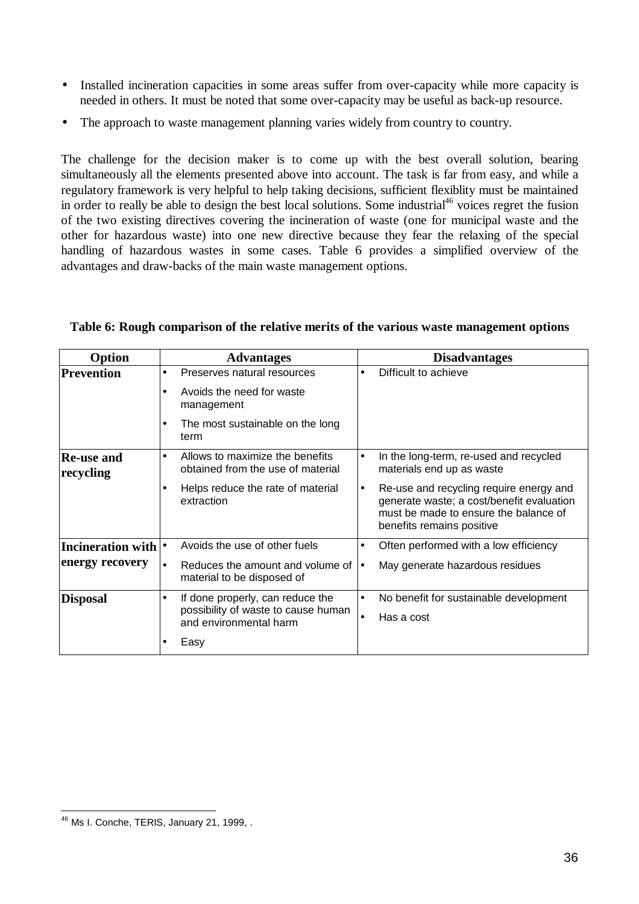- Installed incineration capacities in some areas suffer from over-capacity while more capacity is needed in others. It must be noted that some over-capacity may be useful as back-up resource.
- The approach to waste management planning varies widely from country to country.

The challenge for the decision maker is to come up with the best overall solution, bearing simultaneously all the elements presented above into account. The task is far from easy, and while a regulatory framework is very helpful to help taking decisions, sufficient flexiblity must be maintained in order to really be able to design the best local solutions. Some industrial<sup>46</sup> voices regret the fusion of the two existing directives covering the incineration of waste (one for municipal waste and the other for hazardous waste) into one new directive because they fear the relaxing of the special handling of hazardous wastes in some cases. Table 6 provides a simplified overview of the advantages and draw-backs of the main waste management options.

| Option                         |           | <b>Advantages</b>                                                        |           | <b>Disadvantages</b>                                                                                                                                       |
|--------------------------------|-----------|--------------------------------------------------------------------------|-----------|------------------------------------------------------------------------------------------------------------------------------------------------------------|
| Prevention                     | $\bullet$ | Preserves natural resources                                              |           | Difficult to achieve                                                                                                                                       |
|                                |           | Avoids the need for waste<br>management                                  |           |                                                                                                                                                            |
|                                | $\bullet$ | The most sustainable on the long<br>term                                 |           |                                                                                                                                                            |
| <b>Re-use and</b><br>recycling | $\bullet$ | Allows to maximize the benefits<br>obtained from the use of material     | $\bullet$ | In the long-term, re-used and recycled<br>materials end up as waste                                                                                        |
|                                |           | Helps reduce the rate of material<br>extraction                          | $\bullet$ | Re-use and recycling require energy and<br>generate waste; a cost/benefit evaluation<br>must be made to ensure the balance of<br>benefits remains positive |
| Incineration with  •           |           | Avoids the use of other fuels                                            | ٠         | Often performed with a low efficiency                                                                                                                      |
| energy recovery                | $\bullet$ | Reduces the amount and volume of $\bullet$<br>material to be disposed of |           | May generate hazardous residues                                                                                                                            |
| <b>Disposal</b>                | $\bullet$ | If done properly, can reduce the                                         | $\bullet$ | No benefit for sustainable development                                                                                                                     |
|                                |           | possibility of waste to cause human<br>and environmental harm            |           | Has a cost                                                                                                                                                 |
|                                |           | Easy                                                                     |           |                                                                                                                                                            |

#### **Table 6: Rough comparison of the relative merits of the various waste management options**

 $\overline{a}$ 

<sup>&</sup>lt;sup>46</sup> Ms I. Conche, TERIS, January 21, 1999, .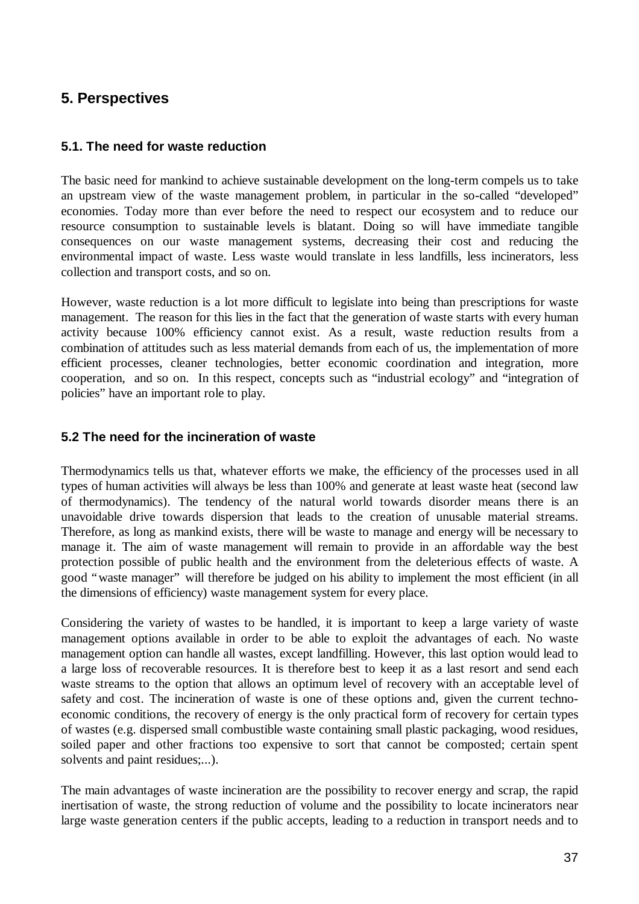# **5. Perspectives**

## **5.1. The need for waste reduction**

The basic need for mankind to achieve sustainable development on the long-term compels us to take an upstream view of the waste management problem, in particular in the so-called "developed" economies. Today more than ever before the need to respect our ecosystem and to reduce our resource consumption to sustainable levels is blatant. Doing so will have immediate tangible consequences on our waste management systems, decreasing their cost and reducing the environmental impact of waste. Less waste would translate in less landfills, less incinerators, less collection and transport costs, and so on.

However, waste reduction is a lot more difficult to legislate into being than prescriptions for waste management. The reason for this lies in the fact that the generation of waste starts with every human activity because 100% efficiency cannot exist. As a result, waste reduction results from a combination of attitudes such as less material demands from each of us, the implementation of more efficient processes, cleaner technologies, better economic coordination and integration, more cooperation, and so on. In this respect, concepts such as "industrial ecology" and "integration of policies" have an important role to play.

## **5.2 The need for the incineration of waste**

Thermodynamics tells us that, whatever efforts we make, the efficiency of the processes used in all types of human activities will always be less than 100% and generate at least waste heat (second law of thermodynamics). The tendency of the natural world towards disorder means there is an unavoidable drive towards dispersion that leads to the creation of unusable material streams. Therefore, as long as mankind exists, there will be waste to manage and energy will be necessary to manage it. The aim of waste management will remain to provide in an affordable way the best protection possible of public health and the environment from the deleterious effects of waste. A good "waste manager" will therefore be judged on his ability to implement the most efficient (in all the dimensions of efficiency) waste management system for every place.

Considering the variety of wastes to be handled, it is important to keep a large variety of waste management options available in order to be able to exploit the advantages of each. No waste management option can handle all wastes, except landfilling. However, this last option would lead to a large loss of recoverable resources. It is therefore best to keep it as a last resort and send each waste streams to the option that allows an optimum level of recovery with an acceptable level of safety and cost. The incineration of waste is one of these options and, given the current technoeconomic conditions, the recovery of energy is the only practical form of recovery for certain types of wastes (e.g. dispersed small combustible waste containing small plastic packaging, wood residues, soiled paper and other fractions too expensive to sort that cannot be composted; certain spent solvents and paint residues;...).

The main advantages of waste incineration are the possibility to recover energy and scrap, the rapid inertisation of waste, the strong reduction of volume and the possibility to locate incinerators near large waste generation centers if the public accepts, leading to a reduction in transport needs and to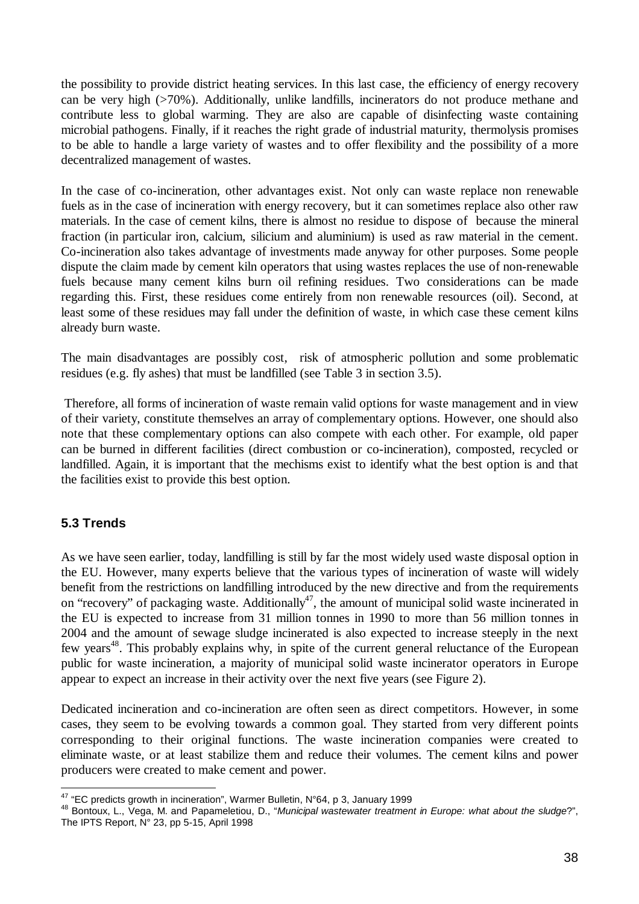the possibility to provide district heating services. In this last case, the efficiency of energy recovery can be very high (>70%). Additionally, unlike landfills, incinerators do not produce methane and contribute less to global warming. They are also are capable of disinfecting waste containing microbial pathogens. Finally, if it reaches the right grade of industrial maturity, thermolysis promises to be able to handle a large variety of wastes and to offer flexibility and the possibility of a more decentralized management of wastes.

In the case of co-incineration, other advantages exist. Not only can waste replace non renewable fuels as in the case of incineration with energy recovery, but it can sometimes replace also other raw materials. In the case of cement kilns, there is almost no residue to dispose of because the mineral fraction (in particular iron, calcium, silicium and aluminium) is used as raw material in the cement. Co-incineration also takes advantage of investments made anyway for other purposes. Some people dispute the claim made by cement kiln operators that using wastes replaces the use of non-renewable fuels because many cement kilns burn oil refining residues. Two considerations can be made regarding this. First, these residues come entirely from non renewable resources (oil). Second, at least some of these residues may fall under the definition of waste, in which case these cement kilns already burn waste.

The main disadvantages are possibly cost, risk of atmospheric pollution and some problematic residues (e.g. fly ashes) that must be landfilled (see Table 3 in section 3.5).

 Therefore, all forms of incineration of waste remain valid options for waste management and in view of their variety, constitute themselves an array of complementary options. However, one should also note that these complementary options can also compete with each other. For example, old paper can be burned in different facilities (direct combustion or co-incineration), composted, recycled or landfilled. Again, it is important that the mechisms exist to identify what the best option is and that the facilities exist to provide this best option.

## **5.3 Trends**

 $\overline{a}$ 

As we have seen earlier, today, landfilling is still by far the most widely used waste disposal option in the EU. However, many experts believe that the various types of incineration of waste will widely benefit from the restrictions on landfilling introduced by the new directive and from the requirements on "recovery" of packaging waste. Additionally<sup>47</sup>, the amount of municipal solid waste incinerated in the EU is expected to increase from 31 million tonnes in 1990 to more than 56 million tonnes in 2004 and the amount of sewage sludge incinerated is also expected to increase steeply in the next few years<sup>48</sup>. This probably explains why, in spite of the current general reluctance of the European public for waste incineration, a majority of municipal solid waste incinerator operators in Europe appear to expect an increase in their activity over the next five years (see Figure 2).

Dedicated incineration and co-incineration are often seen as direct competitors. However, in some cases, they seem to be evolving towards a common goal. They started from very different points corresponding to their original functions. The waste incineration companies were created to eliminate waste, or at least stabilize them and reduce their volumes. The cement kilns and power producers were created to make cement and power.

 $47$  "EC predicts growth in incineration", Warmer Bulletin, N°64, p 3, January 1999

<sup>48</sup> Bontoux, L., Vega, M. and Papameletiou, D., "*Municipal wastewater treatment in Europe: what about the sludge*?", The IPTS Report, N° 23, pp 5-15, April 1998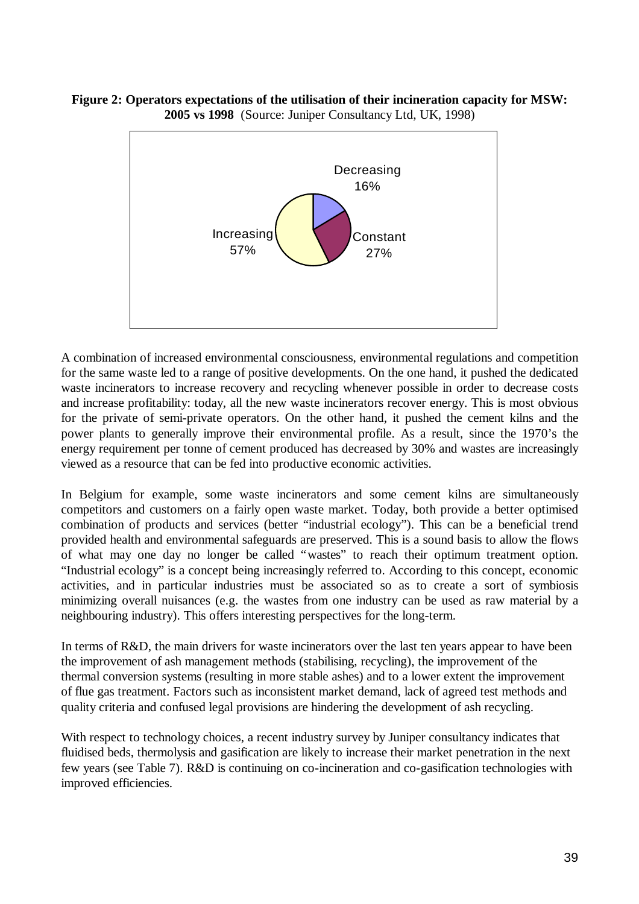**Figure 2: Operators expectations of the utilisation of their incineration capacity for MSW: 2005 vs 1998** (Source: Juniper Consultancy Ltd, UK, 1998)



A combination of increased environmental consciousness, environmental regulations and competition for the same waste led to a range of positive developments. On the one hand, it pushed the dedicated waste incinerators to increase recovery and recycling whenever possible in order to decrease costs and increase profitability: today, all the new waste incinerators recover energy. This is most obvious for the private of semi-private operators. On the other hand, it pushed the cement kilns and the power plants to generally improve their environmental profile. As a result, since the 1970's the energy requirement per tonne of cement produced has decreased by 30% and wastes are increasingly viewed as a resource that can be fed into productive economic activities.

In Belgium for example, some waste incinerators and some cement kilns are simultaneously competitors and customers on a fairly open waste market. Today, both provide a better optimised combination of products and services (better "industrial ecology"). This can be a beneficial trend provided health and environmental safeguards are preserved. This is a sound basis to allow the flows of what may one day no longer be called "wastes" to reach their optimum treatment option. "Industrial ecology" is a concept being increasingly referred to. According to this concept, economic activities, and in particular industries must be associated so as to create a sort of symbiosis minimizing overall nuisances (e.g. the wastes from one industry can be used as raw material by a neighbouring industry). This offers interesting perspectives for the long-term.

In terms of R&D, the main drivers for waste incinerators over the last ten years appear to have been the improvement of ash management methods (stabilising, recycling), the improvement of the thermal conversion systems (resulting in more stable ashes) and to a lower extent the improvement of flue gas treatment. Factors such as inconsistent market demand, lack of agreed test methods and quality criteria and confused legal provisions are hindering the development of ash recycling.

With respect to technology choices, a recent industry survey by Juniper consultancy indicates that fluidised beds, thermolysis and gasification are likely to increase their market penetration in the next few years (see Table 7). R&D is continuing on co-incineration and co-gasification technologies with improved efficiencies.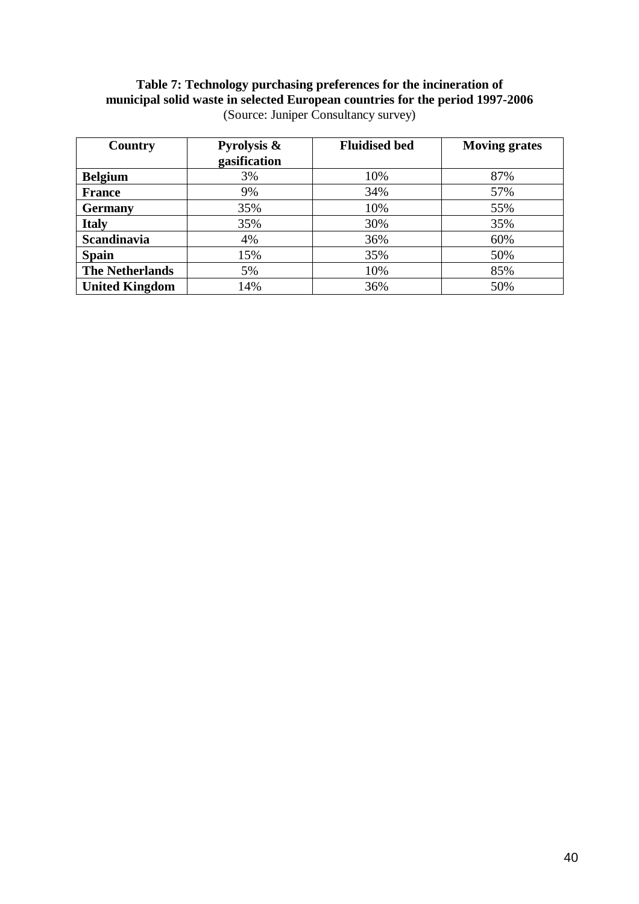## **Table 7: Technology purchasing preferences for the incineration of municipal solid waste in selected European countries for the period 1997-2006** (Source: Juniper Consultancy survey)

| Country                | Pyrolysis &  | <b>Fluidised bed</b> | <b>Moving grates</b> |
|------------------------|--------------|----------------------|----------------------|
|                        | gasification |                      |                      |
| <b>Belgium</b>         | 3%           | 10%                  | 87%                  |
| <b>France</b>          | 9%           | 34%                  | 57%                  |
| <b>Germany</b>         | 35%          | 10%                  | 55%                  |
| <b>Italy</b>           | 35%          | 30%                  | 35%                  |
| <b>Scandinavia</b>     | 4%           | 36%                  | 60%                  |
| <b>Spain</b>           | 15%          | 35%                  | 50%                  |
| <b>The Netherlands</b> | 5%           | 10%                  | 85%                  |
| <b>United Kingdom</b>  | 14%          | 36%                  | 50%                  |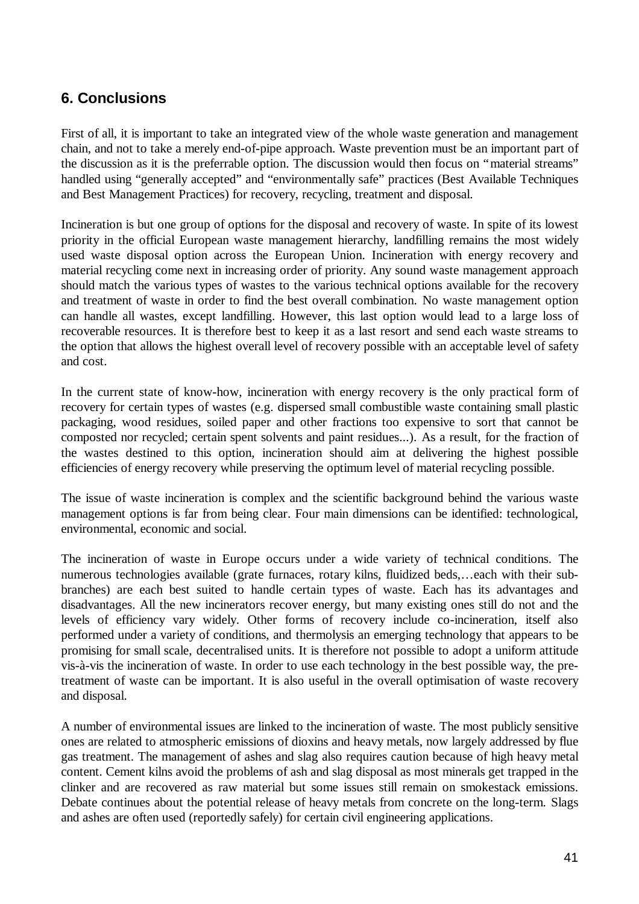# **6. Conclusions**

First of all, it is important to take an integrated view of the whole waste generation and management chain, and not to take a merely end-of-pipe approach. Waste prevention must be an important part of the discussion as it is the preferrable option. The discussion would then focus on "material streams" handled using "generally accepted" and "environmentally safe" practices (Best Available Techniques and Best Management Practices) for recovery, recycling, treatment and disposal.

Incineration is but one group of options for the disposal and recovery of waste. In spite of its lowest priority in the official European waste management hierarchy, landfilling remains the most widely used waste disposal option across the European Union. Incineration with energy recovery and material recycling come next in increasing order of priority. Any sound waste management approach should match the various types of wastes to the various technical options available for the recovery and treatment of waste in order to find the best overall combination. No waste management option can handle all wastes, except landfilling. However, this last option would lead to a large loss of recoverable resources. It is therefore best to keep it as a last resort and send each waste streams to the option that allows the highest overall level of recovery possible with an acceptable level of safety and cost.

In the current state of know-how, incineration with energy recovery is the only practical form of recovery for certain types of wastes (e.g. dispersed small combustible waste containing small plastic packaging, wood residues, soiled paper and other fractions too expensive to sort that cannot be composted nor recycled; certain spent solvents and paint residues...). As a result, for the fraction of the wastes destined to this option, incineration should aim at delivering the highest possible efficiencies of energy recovery while preserving the optimum level of material recycling possible.

The issue of waste incineration is complex and the scientific background behind the various waste management options is far from being clear. Four main dimensions can be identified: technological, environmental, economic and social.

The incineration of waste in Europe occurs under a wide variety of technical conditions. The numerous technologies available (grate furnaces, rotary kilns, fluidized beds,… each with their subbranches) are each best suited to handle certain types of waste. Each has its advantages and disadvantages. All the new incinerators recover energy, but many existing ones still do not and the levels of efficiency vary widely. Other forms of recovery include co-incineration, itself also performed under a variety of conditions, and thermolysis an emerging technology that appears to be promising for small scale, decentralised units. It is therefore not possible to adopt a uniform attitude vis-à-vis the incineration of waste. In order to use each technology in the best possible way, the pretreatment of waste can be important. It is also useful in the overall optimisation of waste recovery and disposal.

A number of environmental issues are linked to the incineration of waste. The most publicly sensitive ones are related to atmospheric emissions of dioxins and heavy metals, now largely addressed by flue gas treatment. The management of ashes and slag also requires caution because of high heavy metal content. Cement kilns avoid the problems of ash and slag disposal as most minerals get trapped in the clinker and are recovered as raw material but some issues still remain on smokestack emissions. Debate continues about the potential release of heavy metals from concrete on the long-term. Slags and ashes are often used (reportedly safely) for certain civil engineering applications.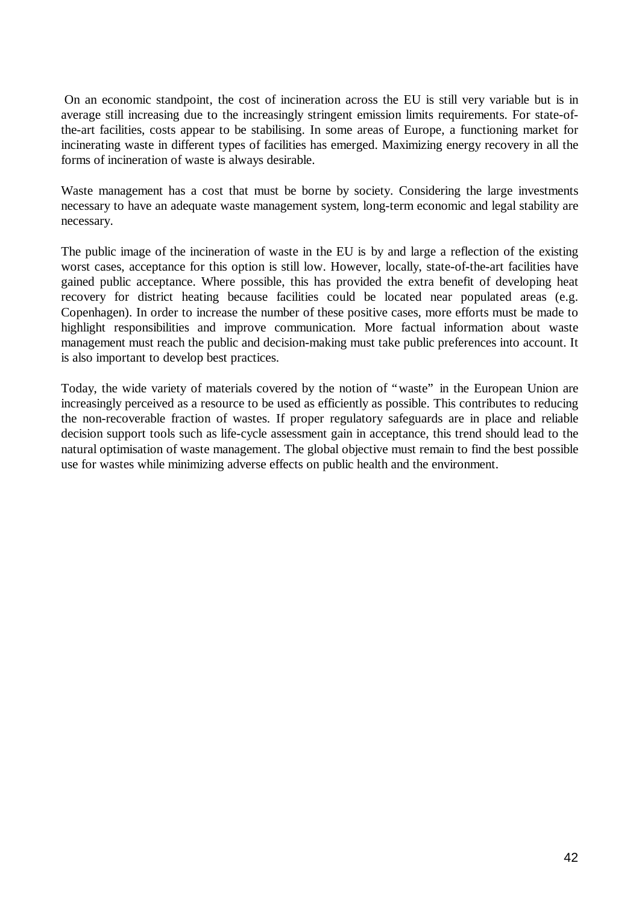On an economic standpoint, the cost of incineration across the EU is still very variable but is in average still increasing due to the increasingly stringent emission limits requirements. For state-ofthe-art facilities, costs appear to be stabilising. In some areas of Europe, a functioning market for incinerating waste in different types of facilities has emerged. Maximizing energy recovery in all the forms of incineration of waste is always desirable.

Waste management has a cost that must be borne by society. Considering the large investments necessary to have an adequate waste management system, long-term economic and legal stability are necessary.

The public image of the incineration of waste in the EU is by and large a reflection of the existing worst cases, acceptance for this option is still low. However, locally, state-of-the-art facilities have gained public acceptance. Where possible, this has provided the extra benefit of developing heat recovery for district heating because facilities could be located near populated areas (e.g. Copenhagen). In order to increase the number of these positive cases, more efforts must be made to highlight responsibilities and improve communication. More factual information about waste management must reach the public and decision-making must take public preferences into account. It is also important to develop best practices.

Today, the wide variety of materials covered by the notion of "waste" in the European Union are increasingly perceived as a resource to be used as efficiently as possible. This contributes to reducing the non-recoverable fraction of wastes. If proper regulatory safeguards are in place and reliable decision support tools such as life-cycle assessment gain in acceptance, this trend should lead to the natural optimisation of waste management. The global objective must remain to find the best possible use for wastes while minimizing adverse effects on public health and the environment.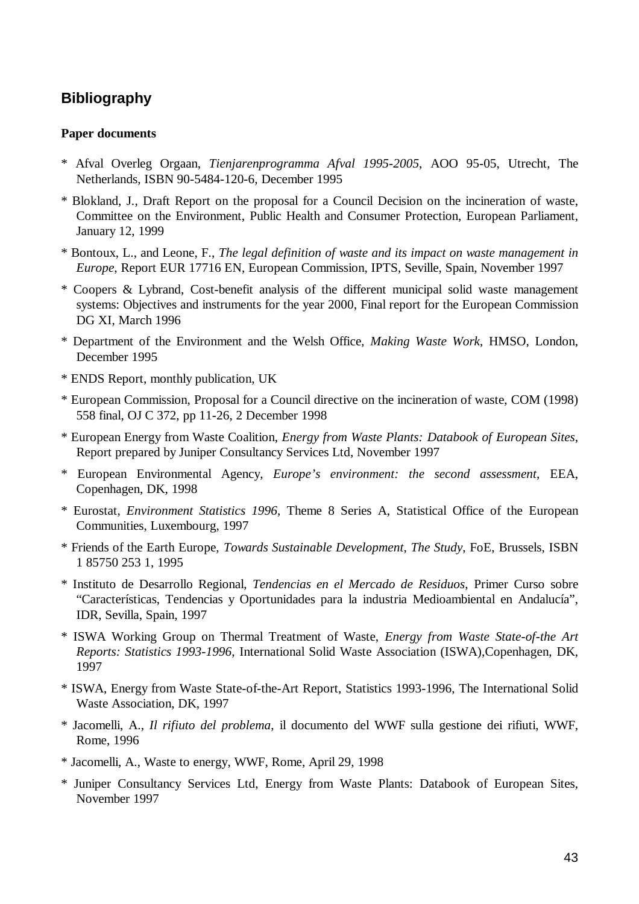# **Bibliography**

#### **Paper documents**

- \* Afval Overleg Orgaan, *Tienjarenprogramma Afval 1995-2005*, AOO 95-05, Utrecht, The Netherlands, ISBN 90-5484-120-6, December 1995
- \* Blokland, J., Draft Report on the proposal for a Council Decision on the incineration of waste, Committee on the Environment, Public Health and Consumer Protection, European Parliament, January 12, 1999
- \* Bontoux, L., and Leone, F., *The legal definition of waste and its impact on waste management in Europe*, Report EUR 17716 EN, European Commission, IPTS, Seville, Spain, November 1997
- \* Coopers & Lybrand, Cost-benefit analysis of the different municipal solid waste management systems: Objectives and instruments for the year 2000, Final report for the European Commission DG XI, March 1996
- \* Department of the Environment and the Welsh Office, *Making Waste Work*, HMSO, London, December 1995
- \* ENDS Report, monthly publication, UK
- \* European Commission, Proposal for a Council directive on the incineration of waste, COM (1998) 558 final, OJ C 372, pp 11-26, 2 December 1998
- \* European Energy from Waste Coalition, *Energy from Waste Plants: Databook of European Sites*, Report prepared by Juniper Consultancy Services Ltd, November 1997
- \* European Environmental Agency, *Europe's environment: the second assessment*, EEA, Copenhagen, DK, 1998
- \* Eurostat, *Environment Statistics 1996*, Theme 8 Series A, Statistical Office of the European Communities, Luxembourg, 1997
- \* Friends of the Earth Europe, *Towards Sustainable Development, The Study*, FoE, Brussels, ISBN 1 85750 253 1, 1995
- \* Instituto de Desarrollo Regional, *Tendencias en el Mercado de Residuos*, Primer Curso sobre "Características, Tendencias y Oportunidades para la industria Medioambiental en Andalucía", IDR, Sevilla, Spain, 1997
- \* ISWA Working Group on Thermal Treatment of Waste, *Energy from Waste State-of-the Art Reports: Statistics 1993-1996*, International Solid Waste Association (ISWA),Copenhagen, DK, 1997
- \* ISWA, Energy from Waste State-of-the-Art Report, Statistics 1993-1996, The International Solid Waste Association, DK, 1997
- \* Jacomelli, A., *Il rifiuto del problema*, il documento del WWF sulla gestione dei rifiuti, WWF, Rome, 1996
- \* Jacomelli, A., Waste to energy, WWF, Rome, April 29, 1998
- \* Juniper Consultancy Services Ltd, Energy from Waste Plants: Databook of European Sites, November 1997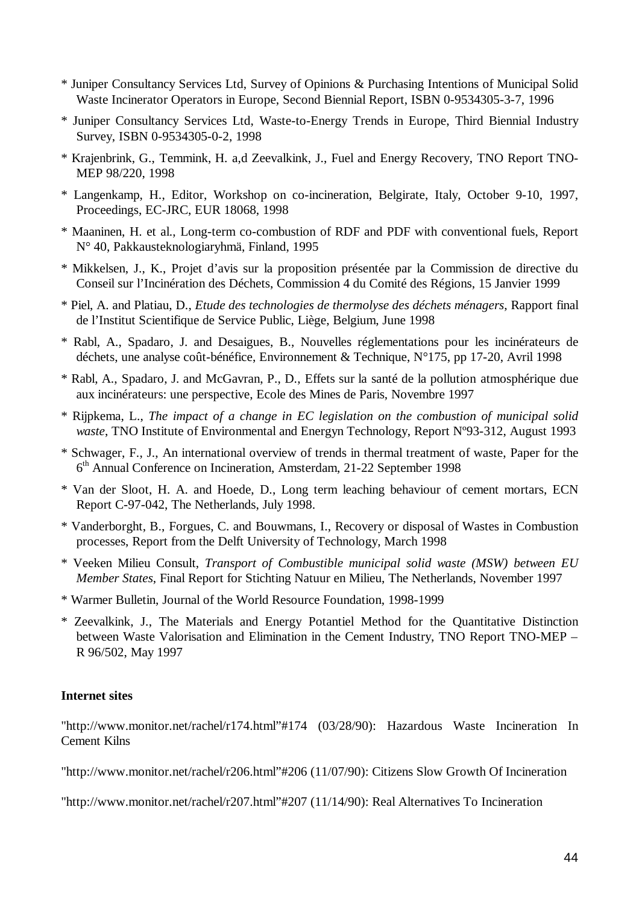- \* Juniper Consultancy Services Ltd, Survey of Opinions & Purchasing Intentions of Municipal Solid Waste Incinerator Operators in Europe, Second Biennial Report, ISBN 0-9534305-3-7, 1996
- \* Juniper Consultancy Services Ltd, Waste-to-Energy Trends in Europe, Third Biennial Industry Survey, ISBN 0-9534305-0-2, 1998
- \* Krajenbrink, G., Temmink, H. a,d Zeevalkink, J., Fuel and Energy Recovery, TNO Report TNO-MEP 98/220, 1998
- \* Langenkamp, H., Editor, Workshop on co-incineration, Belgirate, Italy, October 9-10, 1997, Proceedings, EC-JRC, EUR 18068, 1998
- \* Maaninen, H. et al., Long-term co-combustion of RDF and PDF with conventional fuels, Report N° 40, Pakkausteknologiaryhmä, Finland, 1995
- \* Mikkelsen, J., K., Projet d'avis sur la proposition présentée par la Commission de directive du Conseil sur l'Incinération des Déchets, Commission 4 du Comité des Régions, 15 Janvier 1999
- \* Piel, A. and Platiau, D., *Etude des technologies de thermolyse des déchets ménagers*, Rapport final de l'Institut Scientifique de Service Public, Liège, Belgium, June 1998
- \* Rabl, A., Spadaro, J. and Desaigues, B., Nouvelles réglementations pour les incinérateurs de déchets, une analyse coût-bénéfice, Environnement & Technique, N°175, pp 17-20, Avril 1998
- \* Rabl, A., Spadaro, J. and McGavran, P., D., Effets sur la santé de la pollution atmosphérique due aux incinérateurs: une perspective, Ecole des Mines de Paris, Novembre 1997
- \* Rijpkema, L., *The impact of a change in EC legislation on the combustion of municipal solid waste*, TNO Institute of Environmental and Energyn Technology, Report Nº93-312, August 1993
- \* Schwager, F., J., An international overview of trends in thermal treatment of waste, Paper for the 6 th Annual Conference on Incineration, Amsterdam, 21-22 September 1998
- \* Van der Sloot, H. A. and Hoede, D., Long term leaching behaviour of cement mortars, ECN Report C-97-042, The Netherlands, July 1998.
- \* Vanderborght, B., Forgues, C. and Bouwmans, I., Recovery or disposal of Wastes in Combustion processes, Report from the Delft University of Technology, March 1998
- \* Veeken Milieu Consult, *Transport of Combustible municipal solid waste (MSW) between EU Member States*, Final Report for Stichting Natuur en Milieu, The Netherlands, November 1997
- \* Warmer Bulletin, Journal of the World Resource Foundation, 1998-1999
- \* Zeevalkink, J., The Materials and Energy Potantiel Method for the Quantitative Distinction between Waste Valorisation and Elimination in the Cement Industry, TNO Report TNO-MEP – R 96/502, May 1997

#### **Internet sites**

"http://www.monitor.net/rachel/r174.html"#174 (03/28/90): Hazardous Waste Incineration In Cement Kilns

"http://www.monitor.net/rachel/r206.html"#206 (11/07/90): Citizens Slow Growth Of Incineration

"http://www.monitor.net/rachel/r207.html"#207 (11/14/90): Real Alternatives To Incineration